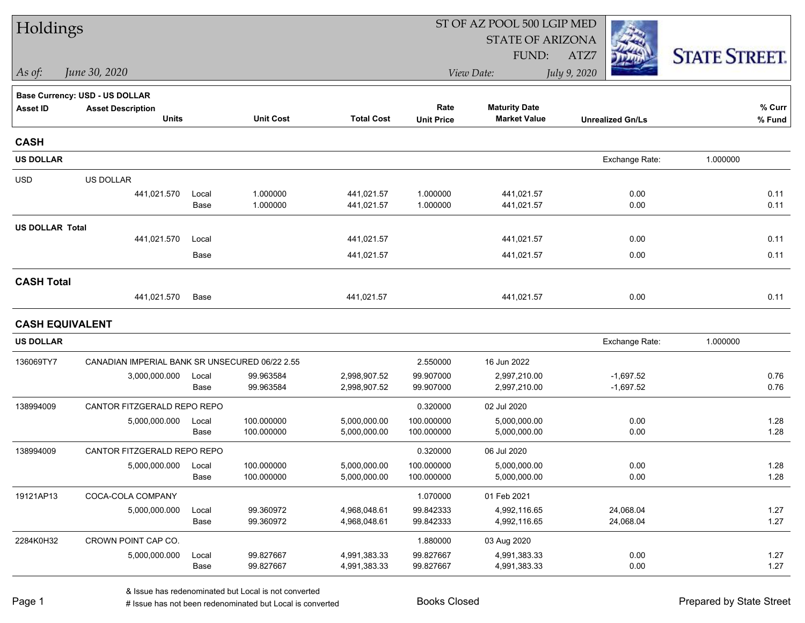| Holdings               |                                                |               |                          |                              | ST OF AZ POOL 500 LGIP MED |                                             |                            |                      |  |  |  |
|------------------------|------------------------------------------------|---------------|--------------------------|------------------------------|----------------------------|---------------------------------------------|----------------------------|----------------------|--|--|--|
|                        |                                                |               |                          |                              |                            | <b>STATE OF ARIZONA</b>                     |                            |                      |  |  |  |
|                        |                                                |               |                          |                              |                            | FUND:                                       | ATZ7                       | <b>STATE STREET.</b> |  |  |  |
| As of:                 | June 30, 2020                                  |               |                          |                              |                            | View Date:                                  | July 9, 2020               |                      |  |  |  |
|                        | <b>Base Currency: USD - US DOLLAR</b>          |               |                          |                              |                            |                                             |                            |                      |  |  |  |
| <b>Asset ID</b>        | <b>Asset Description</b><br><b>Units</b>       |               | <b>Unit Cost</b>         | <b>Total Cost</b>            | Rate<br><b>Unit Price</b>  | <b>Maturity Date</b><br><b>Market Value</b> | <b>Unrealized Gn/Ls</b>    | % Curr<br>% Fund     |  |  |  |
| <b>CASH</b>            |                                                |               |                          |                              |                            |                                             |                            |                      |  |  |  |
| <b>US DOLLAR</b>       |                                                |               |                          |                              |                            |                                             | Exchange Rate:             | 1.000000             |  |  |  |
| <b>USD</b>             | US DOLLAR                                      |               |                          |                              |                            |                                             |                            |                      |  |  |  |
|                        | 441,021.570                                    | Local<br>Base | 1.000000<br>1.000000     | 441,021.57<br>441,021.57     | 1.000000<br>1.000000       | 441,021.57<br>441,021.57                    | 0.00<br>0.00               | 0.11<br>0.11         |  |  |  |
| <b>US DOLLAR Total</b> |                                                |               |                          |                              |                            |                                             |                            |                      |  |  |  |
|                        | 441,021.570                                    | Local         |                          | 441,021.57                   |                            | 441,021.57                                  | 0.00                       | 0.11                 |  |  |  |
|                        |                                                | Base          |                          | 441,021.57                   |                            | 441,021.57                                  | 0.00                       | 0.11                 |  |  |  |
| <b>CASH Total</b>      |                                                |               |                          |                              |                            |                                             |                            |                      |  |  |  |
|                        | 441,021.570                                    | Base          |                          | 441,021.57                   |                            | 441,021.57                                  | 0.00                       | 0.11                 |  |  |  |
| <b>CASH EQUIVALENT</b> |                                                |               |                          |                              |                            |                                             |                            |                      |  |  |  |
| <b>US DOLLAR</b>       |                                                |               |                          |                              |                            |                                             | Exchange Rate:             | 1.000000             |  |  |  |
| 136069TY7              | CANADIAN IMPERIAL BANK SR UNSECURED 06/22 2.55 |               |                          |                              | 2.550000                   | 16 Jun 2022                                 |                            |                      |  |  |  |
|                        | 3,000,000.000                                  | Local<br>Base | 99.963584<br>99.963584   | 2,998,907.52<br>2,998,907.52 | 99.907000<br>99.907000     | 2,997,210.00<br>2,997,210.00                | $-1,697.52$<br>$-1,697.52$ | 0.76<br>0.76         |  |  |  |
| 138994009              | CANTOR FITZGERALD REPO REPO                    |               |                          |                              | 0.320000                   | 02 Jul 2020                                 |                            |                      |  |  |  |
|                        | 5,000,000.000                                  | Local<br>Base | 100.000000<br>100.000000 | 5,000,000.00<br>5,000,000.00 | 100.000000<br>100.000000   | 5,000,000.00<br>5,000,000.00                | 0.00<br>0.00               | 1.28<br>1.28         |  |  |  |
| 138994009              | CANTOR FITZGERALD REPO REPO                    |               |                          |                              | 0.320000                   | 06 Jul 2020                                 |                            |                      |  |  |  |
|                        | 5,000,000.000                                  | Local<br>Base | 100.000000<br>100.000000 | 5,000,000.00<br>5,000,000.00 | 100.000000<br>100.000000   | 5,000,000.00<br>5,000,000.00                | 0.00<br>0.00               | 1.28<br>1.28         |  |  |  |
| 19121AP13              | COCA-COLA COMPANY                              |               |                          |                              | 1.070000                   | 01 Feb 2021                                 |                            |                      |  |  |  |
|                        | 5,000,000.000                                  | Local<br>Base | 99.360972<br>99.360972   | 4,968,048.61<br>4,968,048.61 | 99.842333<br>99.842333     | 4,992,116.65<br>4,992,116.65                | 24,068.04<br>24,068.04     | 1.27<br>1.27         |  |  |  |
| 2284K0H32              | CROWN POINT CAP CO.                            |               |                          |                              | 1.880000                   | 03 Aug 2020                                 |                            |                      |  |  |  |
|                        | 5,000,000.000                                  | Local<br>Base | 99.827667<br>99.827667   | 4,991,383.33<br>4,991,383.33 | 99.827667<br>99.827667     | 4,991,383.33<br>4,991,383.33                | 0.00<br>0.00               | 1.27<br>1.27         |  |  |  |
|                        |                                                |               |                          |                              |                            |                                             |                            |                      |  |  |  |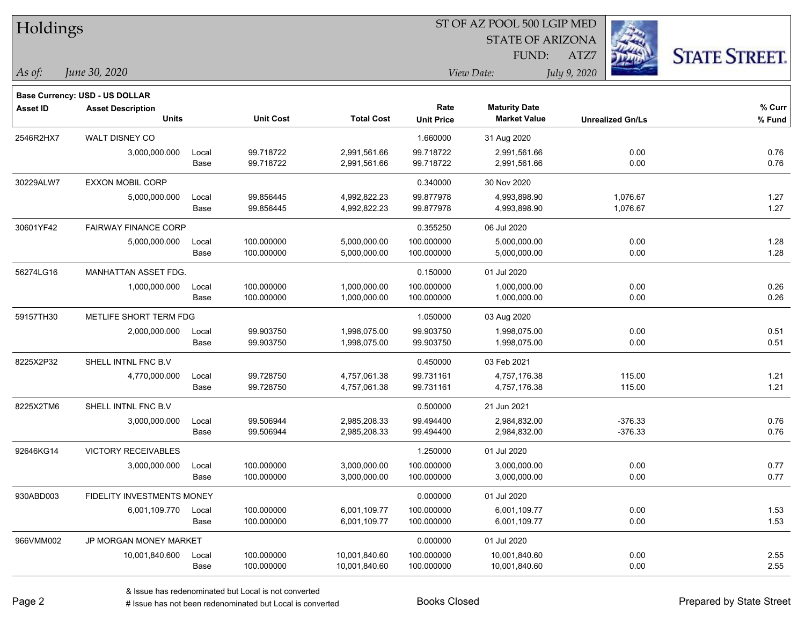| Holdings        |                                |       |                  |                   | ST OF AZ POOL 500 LGIP MED |                         |                         |                      |  |  |  |
|-----------------|--------------------------------|-------|------------------|-------------------|----------------------------|-------------------------|-------------------------|----------------------|--|--|--|
|                 |                                |       |                  |                   |                            | <b>STATE OF ARIZONA</b> |                         |                      |  |  |  |
|                 |                                |       |                  |                   |                            | FUND:                   | ATZ7                    | <b>STATE STREET.</b> |  |  |  |
| As of:          | June 30, 2020                  |       |                  |                   |                            | View Date:              | July 9, 2020            |                      |  |  |  |
|                 | Base Currency: USD - US DOLLAR |       |                  |                   |                            |                         |                         |                      |  |  |  |
| <b>Asset ID</b> | <b>Asset Description</b>       |       |                  |                   | Rate                       | <b>Maturity Date</b>    |                         | $%$ Curr             |  |  |  |
|                 | <b>Units</b>                   |       | <b>Unit Cost</b> | <b>Total Cost</b> | <b>Unit Price</b>          | <b>Market Value</b>     | <b>Unrealized Gn/Ls</b> | % Fund               |  |  |  |
| 2546R2HX7       | WALT DISNEY CO                 |       |                  |                   | 1.660000                   | 31 Aug 2020             |                         |                      |  |  |  |
|                 | 3,000,000.000                  | Local | 99.718722        | 2,991,561.66      | 99.718722                  | 2,991,561.66            | 0.00                    | 0.76                 |  |  |  |
|                 |                                | Base  | 99.718722        | 2,991,561.66      | 99.718722                  | 2,991,561.66            | 0.00                    | 0.76                 |  |  |  |
| 30229ALW7       | EXXON MOBIL CORP               |       |                  |                   | 0.340000                   | 30 Nov 2020             |                         |                      |  |  |  |
|                 | 5,000,000.000                  | Local | 99.856445        | 4,992,822.23      | 99.877978                  | 4,993,898.90            | 1,076.67                | 1.27                 |  |  |  |
|                 |                                | Base  | 99.856445        | 4,992,822.23      | 99.877978                  | 4,993,898.90            | 1,076.67                | 1.27                 |  |  |  |
| 30601YF42       | <b>FAIRWAY FINANCE CORP</b>    |       |                  |                   | 0.355250                   | 06 Jul 2020             |                         |                      |  |  |  |
|                 | 5,000,000.000                  | Local | 100.000000       | 5,000,000.00      | 100.000000                 | 5,000,000.00            | 0.00                    | 1.28                 |  |  |  |
|                 |                                | Base  | 100.000000       | 5,000,000.00      | 100.000000                 | 5,000,000.00            | 0.00                    | 1.28                 |  |  |  |
| 56274LG16       | MANHATTAN ASSET FDG.           |       |                  |                   | 0.150000                   | 01 Jul 2020             |                         |                      |  |  |  |
|                 | 1,000,000.000                  | Local | 100.000000       | 1,000,000.00      | 100.000000                 | 1,000,000.00            | 0.00                    | 0.26                 |  |  |  |
|                 |                                | Base  | 100.000000       | 1,000,000.00      | 100.000000                 | 1,000,000.00            | 0.00                    | 0.26                 |  |  |  |
| 59157TH30       | METLIFE SHORT TERM FDG         |       |                  |                   | 1.050000                   | 03 Aug 2020             |                         |                      |  |  |  |
|                 | 2,000,000.000                  | Local | 99.903750        | 1,998,075.00      | 99.903750                  | 1,998,075.00            | 0.00                    | 0.51                 |  |  |  |
|                 |                                | Base  | 99.903750        | 1,998,075.00      | 99.903750                  | 1,998,075.00            | 0.00                    | 0.51                 |  |  |  |
| 8225X2P32       | SHELL INTNL FNC B.V            |       |                  |                   | 0.450000                   | 03 Feb 2021             |                         |                      |  |  |  |
|                 | 4,770,000.000                  | Local | 99.728750        | 4,757,061.38      | 99.731161                  | 4,757,176.38            | 115.00                  | 1.21                 |  |  |  |
|                 |                                | Base  | 99.728750        | 4,757,061.38      | 99.731161                  | 4,757,176.38            | 115.00                  | 1.21                 |  |  |  |
| 8225X2TM6       | SHELL INTNL FNC B.V            |       |                  |                   | 0.500000                   | 21 Jun 2021             |                         |                      |  |  |  |
|                 | 3,000,000.000                  | Local | 99.506944        | 2,985,208.33      | 99.494400                  | 2,984,832.00            | $-376.33$               | 0.76                 |  |  |  |
|                 |                                | Base  | 99.506944        | 2,985,208.33      | 99.494400                  | 2,984,832.00            | $-376.33$               | 0.76                 |  |  |  |
| 92646KG14       | <b>VICTORY RECEIVABLES</b>     |       |                  |                   | 1.250000                   | 01 Jul 2020             |                         |                      |  |  |  |
|                 | 3,000,000.000                  | Local | 100.000000       | 3,000,000.00      | 100.000000                 | 3,000,000.00            | 0.00                    | 0.77                 |  |  |  |
|                 |                                | Base  | 100.000000       | 3,000,000.00      | 100.000000                 | 3,000,000.00            | 0.00                    | 0.77                 |  |  |  |
| 930ABD003       | FIDELITY INVESTMENTS MONEY     |       |                  |                   | 0.000000                   | 01 Jul 2020             |                         |                      |  |  |  |
|                 | 6,001,109.770                  | Local | 100.000000       | 6,001,109.77      | 100.000000                 | 6,001,109.77            | 0.00                    | 1.53                 |  |  |  |
|                 |                                | Base  | 100.000000       | 6,001,109.77      | 100.000000                 | 6,001,109.77            | 0.00                    | 1.53                 |  |  |  |
| 966VMM002       | <b>JP MORGAN MONEY MARKET</b>  |       |                  |                   | 0.000000                   | 01 Jul 2020             |                         |                      |  |  |  |
|                 | 10,001,840.600                 | Local | 100.000000       | 10,001,840.60     | 100.000000                 | 10,001,840.60           | 0.00                    | 2.55                 |  |  |  |
|                 |                                | Base  | 100.000000       | 10,001,840.60     | 100.000000                 | 10,001,840.60           | 0.00                    | 2.55                 |  |  |  |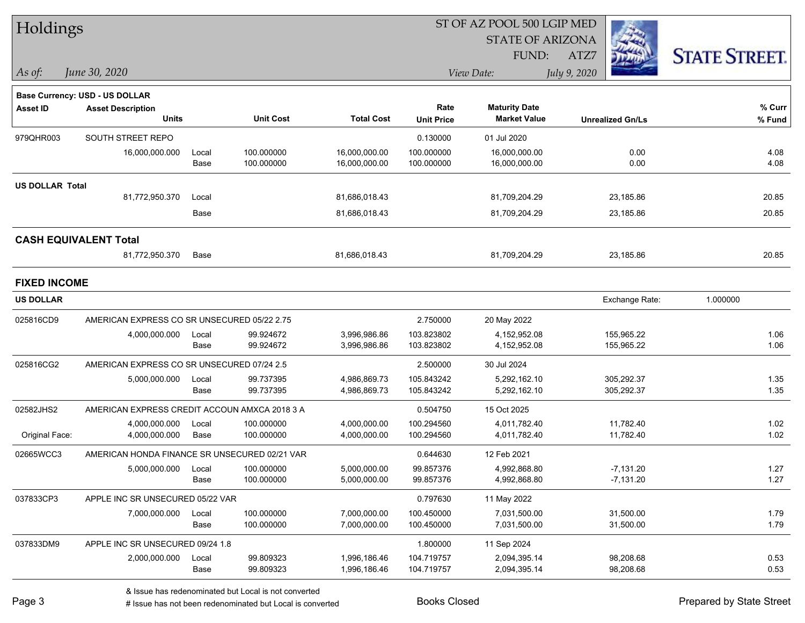| Holdings               |                                               |       |                  |                   | ST OF AZ POOL 500 LGIP MED |                         |                         |                      |  |  |  |
|------------------------|-----------------------------------------------|-------|------------------|-------------------|----------------------------|-------------------------|-------------------------|----------------------|--|--|--|
|                        |                                               |       |                  |                   |                            | <b>STATE OF ARIZONA</b> |                         |                      |  |  |  |
|                        |                                               |       |                  |                   |                            | FUND:                   | ATZ7                    | <b>STATE STREET.</b> |  |  |  |
| $\vert$ As of:         | June 30, 2020                                 |       |                  |                   |                            | View Date:              | July 9, 2020            |                      |  |  |  |
|                        | <b>Base Currency: USD - US DOLLAR</b>         |       |                  |                   |                            |                         |                         |                      |  |  |  |
| Asset ID               | <b>Asset Description</b>                      |       |                  |                   | Rate                       | <b>Maturity Date</b>    |                         | % Curr               |  |  |  |
|                        | <b>Units</b>                                  |       | <b>Unit Cost</b> | <b>Total Cost</b> | <b>Unit Price</b>          | <b>Market Value</b>     | <b>Unrealized Gn/Ls</b> | % Fund               |  |  |  |
| 979QHR003              | SOUTH STREET REPO                             |       |                  |                   | 0.130000                   | 01 Jul 2020             |                         |                      |  |  |  |
|                        | 16,000,000.000                                | Local | 100.000000       | 16,000,000.00     | 100.000000                 | 16,000,000.00           | 0.00                    | 4.08                 |  |  |  |
|                        |                                               | Base  | 100.000000       | 16,000,000.00     | 100.000000                 | 16,000,000.00           | 0.00                    | 4.08                 |  |  |  |
| <b>US DOLLAR Total</b> |                                               |       |                  |                   |                            |                         |                         |                      |  |  |  |
|                        | 81,772,950.370                                | Local |                  | 81,686,018.43     |                            | 81,709,204.29           | 23,185.86               | 20.85                |  |  |  |
|                        |                                               | Base  |                  | 81,686,018.43     |                            | 81,709,204.29           | 23,185.86               | 20.85                |  |  |  |
|                        | <b>CASH EQUIVALENT Total</b>                  |       |                  |                   |                            |                         |                         |                      |  |  |  |
|                        | 81,772,950.370                                | Base  |                  | 81,686,018.43     |                            | 81,709,204.29           | 23,185.86               | 20.85                |  |  |  |
| <b>FIXED INCOME</b>    |                                               |       |                  |                   |                            |                         |                         |                      |  |  |  |
| <b>US DOLLAR</b>       |                                               |       |                  |                   |                            |                         | Exchange Rate:          | 1.000000             |  |  |  |
| 025816CD9              | AMERICAN EXPRESS CO SR UNSECURED 05/22 2.75   |       |                  |                   | 2.750000                   | 20 May 2022             |                         |                      |  |  |  |
|                        | 4,000,000.000                                 | Local | 99.924672        | 3,996,986.86      | 103.823802                 | 4,152,952.08            | 155,965.22              | 1.06                 |  |  |  |
|                        |                                               | Base  | 99.924672        | 3,996,986.86      | 103.823802                 | 4,152,952.08            | 155,965.22              | 1.06                 |  |  |  |
| 025816CG2              | AMERICAN EXPRESS CO SR UNSECURED 07/24 2.5    |       |                  |                   | 2.500000                   | 30 Jul 2024             |                         |                      |  |  |  |
|                        | 5,000,000.000                                 | Local | 99.737395        | 4,986,869.73      | 105.843242                 | 5,292,162.10            | 305,292.37              | 1.35                 |  |  |  |
|                        |                                               | Base  | 99.737395        | 4,986,869.73      | 105.843242                 | 5,292,162.10            | 305,292.37              | 1.35                 |  |  |  |
| 02582JHS2              | AMERICAN EXPRESS CREDIT ACCOUN AMXCA 2018 3 A |       |                  |                   | 0.504750                   | 15 Oct 2025             |                         |                      |  |  |  |
|                        | 4,000,000.000                                 | Local | 100.000000       | 4,000,000.00      | 100.294560                 | 4,011,782.40            | 11,782.40               | 1.02                 |  |  |  |
| Original Face:         | 4,000,000.000                                 | Base  | 100.000000       | 4,000,000.00      | 100.294560                 | 4,011,782.40            | 11,782.40               | 1.02                 |  |  |  |
| 02665WCC3              | AMERICAN HONDA FINANCE SR UNSECURED 02/21 VAR |       |                  |                   | 0.644630                   | 12 Feb 2021             |                         |                      |  |  |  |
|                        | 5,000,000.000                                 | Local | 100.000000       | 5,000,000.00      | 99.857376                  | 4,992,868.80            | $-7,131.20$             | 1.27                 |  |  |  |
|                        |                                               | Base  | 100.000000       | 5,000,000.00      | 99.857376                  | 4,992,868.80            | $-7,131.20$             | 1.27                 |  |  |  |
| 037833CP3              | APPLE INC SR UNSECURED 05/22 VAR              |       |                  |                   | 0.797630                   | 11 May 2022             |                         |                      |  |  |  |
|                        | 7,000,000.000                                 | Local | 100.000000       | 7,000,000.00      | 100.450000                 | 7,031,500.00            | 31,500.00               | 1.79                 |  |  |  |
|                        |                                               | Base  | 100.000000       | 7,000,000.00      | 100.450000                 | 7,031,500.00            | 31,500.00               | 1.79                 |  |  |  |
| 037833DM9              | APPLE INC SR UNSECURED 09/24 1.8              |       |                  |                   | 1.800000                   | 11 Sep 2024             |                         |                      |  |  |  |
|                        | 2,000,000.000                                 | Local | 99.809323        | 1,996,186.46      | 104.719757                 | 2,094,395.14            | 98,208.68               | 0.53                 |  |  |  |
|                        |                                               | Base  | 99.809323        | 1,996,186.46      | 104.719757                 | 2,094,395.14            | 98,208.68               | 0.53                 |  |  |  |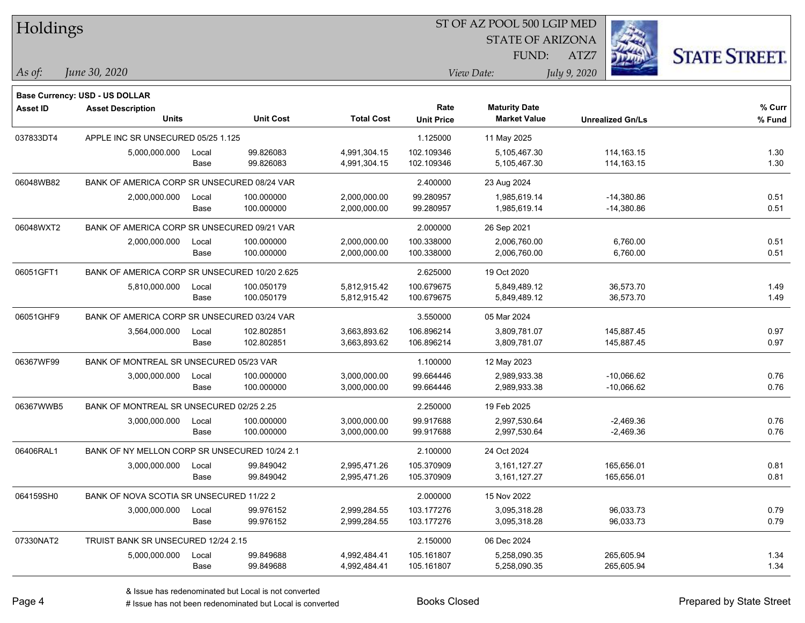| Holdings        |                                               |       |                  |                   | 51 OF AZ POOL 500 LGIP MED |                         |                         |                      |  |  |  |
|-----------------|-----------------------------------------------|-------|------------------|-------------------|----------------------------|-------------------------|-------------------------|----------------------|--|--|--|
|                 |                                               |       |                  |                   |                            | <b>STATE OF ARIZONA</b> | Ż.                      |                      |  |  |  |
|                 |                                               |       |                  |                   |                            | FUND:                   | ATZ7                    | <b>STATE STREET.</b> |  |  |  |
| As of:          | June 30, 2020                                 |       |                  |                   |                            | View Date:              |                         |                      |  |  |  |
|                 |                                               |       |                  |                   |                            |                         | July 9, 2020            |                      |  |  |  |
|                 | Base Currency: USD - US DOLLAR                |       |                  |                   |                            |                         |                         |                      |  |  |  |
| <b>Asset ID</b> | <b>Asset Description</b>                      |       |                  |                   | Rate                       | <b>Maturity Date</b>    |                         | % Curr               |  |  |  |
|                 | <b>Units</b>                                  |       | <b>Unit Cost</b> | <b>Total Cost</b> | <b>Unit Price</b>          | <b>Market Value</b>     | <b>Unrealized Gn/Ls</b> | % Fund               |  |  |  |
| 037833DT4       | APPLE INC SR UNSECURED 05/25 1.125            |       |                  |                   | 1.125000                   | 11 May 2025             |                         |                      |  |  |  |
|                 | 5,000,000.000                                 | Local | 99.826083        | 4,991,304.15      | 102.109346                 | 5,105,467.30            | 114, 163. 15            | 1.30                 |  |  |  |
|                 |                                               | Base  | 99.826083        | 4,991,304.15      | 102.109346                 | 5,105,467.30            | 114,163.15              | 1.30                 |  |  |  |
| 06048WB82       | BANK OF AMERICA CORP SR UNSECURED 08/24 VAR   |       |                  |                   | 2.400000                   | 23 Aug 2024             |                         |                      |  |  |  |
|                 | 2,000,000.000                                 | Local | 100.000000       | 2,000,000.00      | 99.280957                  | 1,985,619.14            | $-14,380.86$            | 0.51                 |  |  |  |
|                 |                                               | Base  | 100.000000       | 2,000,000.00      | 99.280957                  | 1,985,619.14            | $-14,380.86$            | 0.51                 |  |  |  |
| 06048WXT2       | BANK OF AMERICA CORP SR UNSECURED 09/21 VAR   |       |                  |                   | 2.000000                   | 26 Sep 2021             |                         |                      |  |  |  |
|                 | 2,000,000.000                                 | Local | 100.000000       | 2,000,000.00      | 100.338000                 | 2,006,760.00            | 6,760.00                | 0.51                 |  |  |  |
|                 |                                               | Base  | 100.000000       | 2,000,000.00      | 100.338000                 | 2,006,760.00            | 6,760.00                | 0.51                 |  |  |  |
| 06051GFT1       | BANK OF AMERICA CORP SR UNSECURED 10/20 2.625 |       |                  |                   | 2.625000                   | 19 Oct 2020             |                         |                      |  |  |  |
|                 | 5,810,000.000                                 | Local | 100.050179       | 5,812,915.42      | 100.679675                 | 5,849,489.12            | 36,573.70               | 1.49                 |  |  |  |
|                 |                                               | Base  | 100.050179       | 5,812,915.42      | 100.679675                 | 5,849,489.12            | 36,573.70               | 1.49                 |  |  |  |
| 06051GHF9       | BANK OF AMERICA CORP SR UNSECURED 03/24 VAR   |       |                  |                   | 3.550000                   | 05 Mar 2024             |                         |                      |  |  |  |
|                 | 3,564,000.000                                 | Local | 102.802851       | 3,663,893.62      | 106.896214                 | 3,809,781.07            | 145,887.45              | 0.97                 |  |  |  |
|                 |                                               | Base  | 102.802851       | 3,663,893.62      | 106.896214                 | 3,809,781.07            | 145,887.45              | 0.97                 |  |  |  |
| 06367WF99       | BANK OF MONTREAL SR UNSECURED 05/23 VAR       |       |                  |                   | 1.100000                   | 12 May 2023             |                         |                      |  |  |  |
|                 | 3,000,000.000                                 | Local | 100.000000       | 3,000,000.00      | 99.664446                  | 2,989,933.38            | $-10,066.62$            | 0.76                 |  |  |  |
|                 |                                               | Base  | 100.000000       | 3,000,000.00      | 99.664446                  | 2,989,933.38            | $-10,066.62$            | 0.76                 |  |  |  |
| 06367WWB5       | BANK OF MONTREAL SR UNSECURED 02/25 2.25      |       |                  |                   | 2.250000                   | 19 Feb 2025             |                         |                      |  |  |  |
|                 | 3,000,000.000                                 | Local | 100.000000       | 3,000,000.00      | 99.917688                  | 2,997,530.64            | $-2,469.36$             | 0.76                 |  |  |  |
|                 |                                               | Base  | 100.000000       | 3,000,000.00      | 99.917688                  | 2,997,530.64            | $-2,469.36$             | 0.76                 |  |  |  |
| 06406RAL1       | BANK OF NY MELLON CORP SR UNSECURED 10/24 2.1 |       |                  |                   | 2.100000                   | 24 Oct 2024             |                         |                      |  |  |  |
|                 | 3,000,000.000                                 | Local | 99.849042        | 2.995.471.26      | 105.370909                 | 3, 161, 127. 27         | 165,656.01              | 0.81                 |  |  |  |
|                 |                                               | Base  | 99.849042        | 2,995,471.26      | 105.370909                 | 3, 161, 127. 27         | 165,656.01              | 0.81                 |  |  |  |
| 064159SH0       | BANK OF NOVA SCOTIA SR UNSECURED 11/22 2      |       |                  |                   | 2.000000                   | 15 Nov 2022             |                         |                      |  |  |  |
|                 | 3,000,000.000                                 | Local | 99.976152        | 2,999,284.55      | 103.177276                 | 3,095,318.28            | 96,033.73               | 0.79                 |  |  |  |
|                 |                                               | Base  | 99.976152        | 2,999,284.55      | 103.177276                 | 3,095,318.28            | 96,033.73               | 0.79                 |  |  |  |
| 07330NAT2       | TRUIST BANK SR UNSECURED 12/24 2.15           |       |                  |                   | 2.150000                   | 06 Dec 2024             |                         |                      |  |  |  |
|                 | 5,000,000.000                                 | Local | 99.849688        | 4,992,484.41      | 105.161807                 | 5,258,090.35            | 265,605.94              | 1.34                 |  |  |  |
|                 |                                               | Base  | 99.849688        | 4,992,484.41      | 105.161807                 | 5,258,090.35            | 265,605.94              | 1.34                 |  |  |  |
|                 |                                               |       |                  |                   |                            |                         |                         |                      |  |  |  |

 $\overline{B}$   $\overline{B}$   $\overline{B}$   $\overline{B}$   $\overline{C}$   $\overline{D}$   $\overline{D}$   $\overline{D}$   $\overline{D}$   $\overline{D}$   $\overline{D}$   $\overline{D}$   $\overline{D}$   $\overline{D}$   $\overline{D}$   $\overline{D}$   $\overline{D}$   $\overline{D}$   $\overline{D}$   $\overline{D}$   $\overline{D}$   $\overline{D}$   $\overline{D}$   $\overline{D}$   $\overline{$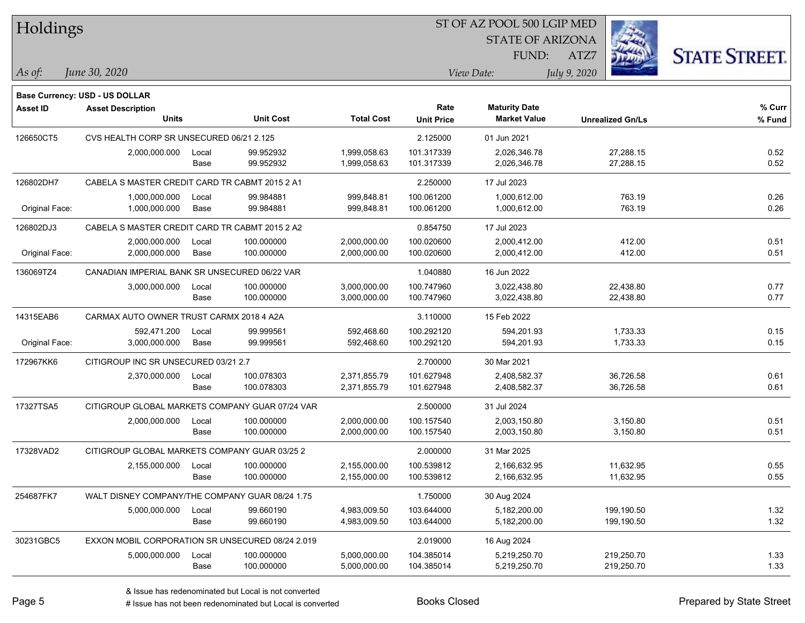| Holdings        |                                                  |       |                  |                   | 51 OF AZ POOL 500 LGIP MED |                         |                         |                      |  |  |
|-----------------|--------------------------------------------------|-------|------------------|-------------------|----------------------------|-------------------------|-------------------------|----------------------|--|--|
|                 |                                                  |       |                  |                   |                            | <b>STATE OF ARIZONA</b> |                         |                      |  |  |
|                 |                                                  |       |                  |                   |                            | FUND:                   | ATZ7                    | <b>STATE STREET.</b> |  |  |
| $\vert$ As of:  | June 30, 2020                                    |       |                  |                   |                            | View Date:              | July 9, 2020            |                      |  |  |
|                 |                                                  |       |                  |                   |                            |                         |                         |                      |  |  |
|                 | <b>Base Currency: USD - US DOLLAR</b>            |       |                  |                   |                            |                         |                         |                      |  |  |
| <b>Asset ID</b> | <b>Asset Description</b>                         |       |                  |                   | Rate                       | <b>Maturity Date</b>    |                         | % Curr               |  |  |
|                 | <b>Units</b>                                     |       | <b>Unit Cost</b> | <b>Total Cost</b> | <b>Unit Price</b>          | <b>Market Value</b>     | <b>Unrealized Gn/Ls</b> | % Fund               |  |  |
| 126650CT5       | CVS HEALTH CORP SR UNSECURED 06/21 2.125         |       |                  |                   | 2.125000                   | 01 Jun 2021             |                         |                      |  |  |
|                 | 2,000,000.000                                    | Local | 99.952932        | 1,999,058.63      | 101.317339                 | 2,026,346.78            | 27,288.15               | 0.52                 |  |  |
|                 |                                                  | Base  | 99.952932        | 1,999,058.63      | 101.317339                 | 2,026,346.78            | 27,288.15               | 0.52                 |  |  |
| 126802DH7       | CABELA S MASTER CREDIT CARD TR CABMT 2015 2 A1   |       |                  |                   | 2.250000                   | 17 Jul 2023             |                         |                      |  |  |
|                 | 1,000,000.000                                    | Local | 99.984881        | 999,848.81        | 100.061200                 | 1,000,612.00            | 763.19                  | 0.26                 |  |  |
| Original Face:  | 1,000,000.000                                    | Base  | 99.984881        | 999,848.81        | 100.061200                 | 1,000,612.00            | 763.19                  | 0.26                 |  |  |
| 126802DJ3       | CABELA S MASTER CREDIT CARD TR CABMT 2015 2 A2   |       |                  |                   | 0.854750                   | 17 Jul 2023             |                         |                      |  |  |
|                 | 2,000,000.000                                    | Local | 100.000000       | 2,000,000.00      | 100.020600                 | 2,000,412.00            | 412.00                  | 0.51                 |  |  |
| Original Face:  | 2,000,000.000                                    | Base  | 100.000000       | 2,000,000.00      | 100.020600                 | 2,000,412.00            | 412.00                  | 0.51                 |  |  |
| 136069TZ4       | CANADIAN IMPERIAL BANK SR UNSECURED 06/22 VAR    |       |                  |                   | 1.040880                   | 16 Jun 2022             |                         |                      |  |  |
|                 | 3,000,000.000                                    | Local | 100.000000       | 3,000,000.00      | 100.747960                 | 3,022,438.80            | 22,438.80               | 0.77                 |  |  |
|                 |                                                  | Base  | 100.000000       | 3,000,000.00      | 100.747960                 | 3,022,438.80            | 22,438.80               | 0.77                 |  |  |
| 14315EAB6       | CARMAX AUTO OWNER TRUST CARMX 2018 4 A2A         |       |                  |                   | 3.110000                   | 15 Feb 2022             |                         |                      |  |  |
|                 | 592,471.200                                      | Local | 99.999561        | 592,468.60        | 100.292120                 | 594,201.93              | 1,733.33                | 0.15                 |  |  |
| Original Face:  | 3,000,000.000                                    | Base  | 99.999561        | 592,468.60        | 100.292120                 | 594,201.93              | 1,733.33                | 0.15                 |  |  |
| 172967KK6       | CITIGROUP INC SR UNSECURED 03/21 2.7             |       |                  |                   | 2.700000                   | 30 Mar 2021             |                         |                      |  |  |
|                 | 2,370,000.000                                    | Local | 100.078303       | 2,371,855.79      | 101.627948                 | 2,408,582.37            | 36,726.58               | 0.61                 |  |  |
|                 |                                                  | Base  | 100.078303       | 2,371,855.79      | 101.627948                 | 2,408,582.37            | 36,726.58               | 0.61                 |  |  |
| 17327TSA5       | CITIGROUP GLOBAL MARKETS COMPANY GUAR 07/24 VAR  |       |                  |                   | 2.500000                   | 31 Jul 2024             |                         |                      |  |  |
|                 | 2,000,000.000                                    | Local | 100.000000       | 2,000,000.00      | 100.157540                 | 2,003,150.80            | 3,150.80                | 0.51                 |  |  |
|                 |                                                  | Base  | 100.000000       | 2,000,000.00      | 100.157540                 | 2,003,150.80            | 3,150.80                | 0.51                 |  |  |
| 17328VAD2       | CITIGROUP GLOBAL MARKETS COMPANY GUAR 03/25 2    |       |                  |                   | 2.000000                   | 31 Mar 2025             |                         |                      |  |  |
|                 | 2,155,000.000                                    | Local | 100.000000       | 2,155,000.00      | 100.539812                 | 2,166,632.95            | 11,632.95               | 0.55                 |  |  |
|                 |                                                  | Base  | 100.000000       | 2,155,000.00      | 100.539812                 | 2,166,632.95            | 11,632.95               | 0.55                 |  |  |
| 254687FK7       | WALT DISNEY COMPANY/THE COMPANY GUAR 08/24 1.75  |       |                  |                   | 1.750000                   | 30 Aug 2024             |                         |                      |  |  |
|                 | 5,000,000.000                                    | Local | 99.660190        | 4,983,009.50      | 103.644000                 | 5,182,200.00            | 199,190.50              | 1.32                 |  |  |
|                 |                                                  | Base  | 99.660190        | 4,983,009.50      | 103.644000                 | 5,182,200.00            | 199,190.50              | 1.32                 |  |  |
| 30231GBC5       | EXXON MOBIL CORPORATION SR UNSECURED 08/24 2.019 |       |                  |                   | 2.019000                   | 16 Aug 2024             |                         |                      |  |  |
|                 | 5,000,000.000                                    | Local | 100.000000       | 5,000,000.00      | 104.385014                 | 5,219,250.70            | 219,250.70              | 1.33                 |  |  |
|                 |                                                  | Base  | 100.000000       | 5,000,000.00      | 104.385014                 | 5,219,250.70            | 219,250.70              | 1.33                 |  |  |

 $STOT$   $BT A Z DOQI$  500 LGIP MED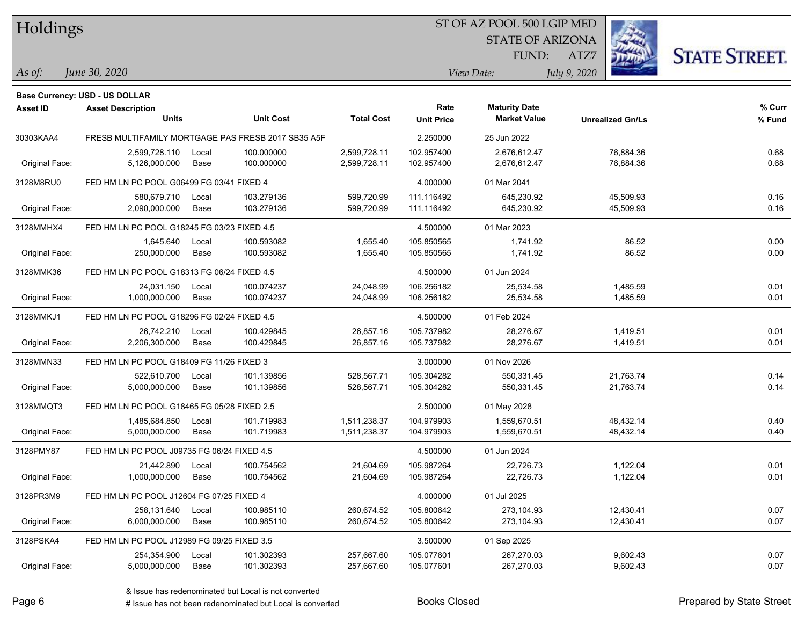|  | Holdings |
|--|----------|
|  |          |

### ST OF AZ POOL 500 LGIP MED

STATE OF ARIZONA



*June 30, 2020 As of: View Date: July 9, 2020*

**Base Currency: USD - US DOLLAR**

ATZ7 FUND:

| Asset ID       | <b>Asset Description</b><br><b>Units</b>    |       | <b>Unit Cost</b>                                   | <b>Total Cost</b> | Rate<br><b>Unit Price</b> | <b>Maturity Date</b><br><b>Market Value</b> | <b>Unrealized Gn/Ls</b> | % Curr<br>% Fund |
|----------------|---------------------------------------------|-------|----------------------------------------------------|-------------------|---------------------------|---------------------------------------------|-------------------------|------------------|
| 30303KAA4      |                                             |       | FRESB MULTIFAMILY MORTGAGE PAS FRESB 2017 SB35 A5F |                   | 2.250000                  | 25 Jun 2022                                 |                         |                  |
|                | 2,599,728.110                               | Local | 100.000000                                         | 2,599,728.11      | 102.957400                | 2,676,612.47                                | 76,884.36               | 0.68             |
| Original Face: | 5,126,000.000                               | Base  | 100.000000                                         | 2,599,728.11      | 102.957400                | 2,676,612.47                                | 76,884.36               | 0.68             |
| 3128M8RU0      | FED HM LN PC POOL G06499 FG 03/41 FIXED 4   |       |                                                    |                   | 4.000000                  | 01 Mar 2041                                 |                         |                  |
|                | 580,679.710                                 | Local | 103.279136                                         | 599,720.99        | 111.116492                | 645,230.92                                  | 45,509.93               | 0.16             |
| Original Face: | 2,090,000.000                               | Base  | 103.279136                                         | 599,720.99        | 111.116492                | 645,230.92                                  | 45,509.93               | 0.16             |
| 3128MMHX4      | FED HM LN PC POOL G18245 FG 03/23 FIXED 4.5 |       |                                                    |                   | 4.500000                  | 01 Mar 2023                                 |                         |                  |
|                | 1,645.640                                   | Local | 100.593082                                         | 1,655.40          | 105.850565                | 1,741.92                                    | 86.52                   | 0.00             |
| Original Face: | 250,000.000                                 | Base  | 100.593082                                         | 1,655.40          | 105.850565                | 1,741.92                                    | 86.52                   | 0.00             |
| 3128MMK36      | FED HM LN PC POOL G18313 FG 06/24 FIXED 4.5 |       |                                                    |                   | 4.500000                  | 01 Jun 2024                                 |                         |                  |
|                | 24,031.150                                  | Local | 100.074237                                         | 24,048.99         | 106.256182                | 25,534.58                                   | 1,485.59                | 0.01             |
| Original Face: | 1,000,000.000                               | Base  | 100.074237                                         | 24,048.99         | 106.256182                | 25,534.58                                   | 1,485.59                | 0.01             |
| 3128MMKJ1      | FED HM LN PC POOL G18296 FG 02/24 FIXED 4.5 |       |                                                    |                   | 4.500000                  | 01 Feb 2024                                 |                         |                  |
|                | 26,742.210                                  | Local | 100.429845                                         | 26,857.16         | 105.737982                | 28,276.67                                   | 1,419.51                | 0.01             |
| Original Face: | 2,206,300.000                               | Base  | 100.429845                                         | 26,857.16         | 105.737982                | 28,276.67                                   | 1,419.51                | 0.01             |
| 3128MMN33      | FED HM LN PC POOL G18409 FG 11/26 FIXED 3   |       |                                                    |                   | 3.000000                  | 01 Nov 2026                                 |                         |                  |
|                | 522,610.700                                 | Local | 101.139856                                         | 528,567.71        | 105.304282                | 550,331.45                                  | 21,763.74               | 0.14             |
| Original Face: | 5,000,000.000                               | Base  | 101.139856                                         | 528,567.71        | 105.304282                | 550,331.45                                  | 21,763.74               | 0.14             |
| 3128MMQT3      | FED HM LN PC POOL G18465 FG 05/28 FIXED 2.5 |       |                                                    |                   | 2.500000                  | 01 May 2028                                 |                         |                  |
|                | 1,485,684.850                               | Local | 101.719983                                         | 1,511,238.37      | 104.979903                | 1,559,670.51                                | 48,432.14               | 0.40             |
| Original Face: | 5,000,000.000                               | Base  | 101.719983                                         | 1,511,238.37      | 104.979903                | 1,559,670.51                                | 48,432.14               | 0.40             |
| 3128PMY87      | FED HM LN PC POOL J09735 FG 06/24 FIXED 4.5 |       |                                                    |                   | 4.500000                  | 01 Jun 2024                                 |                         |                  |
|                | 21,442.890                                  | Local | 100.754562                                         | 21,604.69         | 105.987264                | 22,726.73                                   | 1,122.04                | 0.01             |
| Original Face: | 1,000,000.000                               | Base  | 100.754562                                         | 21,604.69         | 105.987264                | 22,726.73                                   | 1,122.04                | 0.01             |
| 3128PR3M9      | FED HM LN PC POOL J12604 FG 07/25 FIXED 4   |       |                                                    |                   | 4.000000                  | 01 Jul 2025                                 |                         |                  |
|                | 258,131.640                                 | Local | 100.985110                                         | 260,674.52        | 105.800642                | 273,104.93                                  | 12,430.41               | 0.07             |
| Original Face: | 6,000,000.000                               | Base  | 100.985110                                         | 260,674.52        | 105.800642                | 273,104.93                                  | 12,430.41               | 0.07             |
| 3128PSKA4      | FED HM LN PC POOL J12989 FG 09/25 FIXED 3.5 |       |                                                    |                   | 3.500000                  | 01 Sep 2025                                 |                         |                  |
|                | 254,354.900                                 | Local | 101.302393                                         | 257,667.60        | 105.077601                | 267,270.03                                  | 9,602.43                | 0.07             |
| Original Face: | 5,000,000.000                               | Base  | 101.302393                                         | 257,667.60        | 105.077601                | 267,270.03                                  | 9,602.43                | 0.07             |

A ISSUE ISSUE ISSUE ISSUE ISSUE ISSUE ISSUE ISSUE ISSUE ISSUE ISSUE ISSUE ISSUE ISSUE ISSUE ISSUE ISSUE ISSUE I<br>
# Issue has not been redenominated but Local is converted **BOOKS** Closed **Prepared by State Street**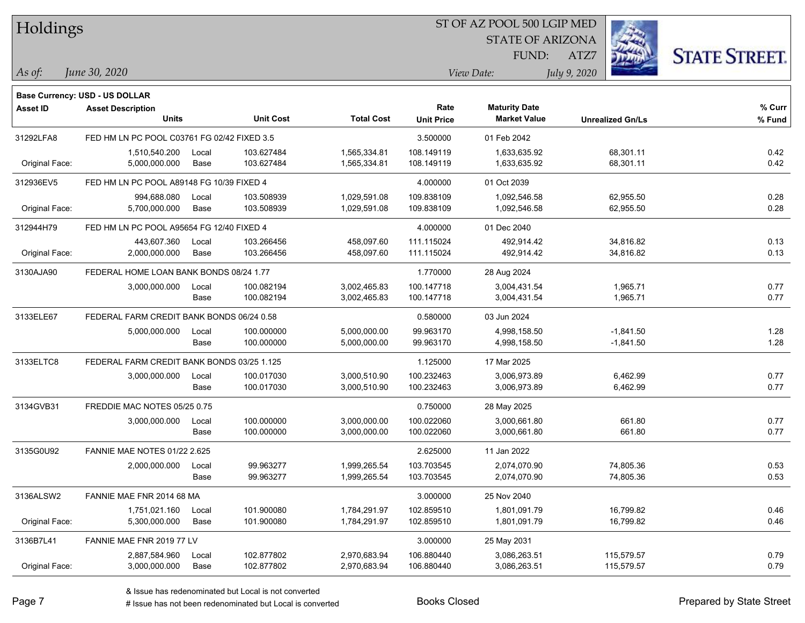| Holdings        |                                             |       |                  |                   | 51 OF AZ POOL 500 LGIP MED |                         |                         |                     |  |  |
|-----------------|---------------------------------------------|-------|------------------|-------------------|----------------------------|-------------------------|-------------------------|---------------------|--|--|
|                 |                                             |       |                  |                   |                            | <b>STATE OF ARIZONA</b> | in 1979.                |                     |  |  |
|                 |                                             |       |                  |                   |                            | <b>FUND:</b>            | ATZ7                    | <b>STATE STREET</b> |  |  |
| $\vert$ As of:  | June 30, 2020                               |       |                  |                   |                            | View Date:              | July 9, 2020            |                     |  |  |
|                 |                                             |       |                  |                   |                            |                         |                         |                     |  |  |
|                 | Base Currency: USD - US DOLLAR              |       |                  |                   |                            |                         |                         |                     |  |  |
| <b>Asset ID</b> | <b>Asset Description</b>                    |       |                  |                   | Rate                       | <b>Maturity Date</b>    |                         | % Curr              |  |  |
|                 | <b>Units</b>                                |       | <b>Unit Cost</b> | <b>Total Cost</b> | <b>Unit Price</b>          | <b>Market Value</b>     | <b>Unrealized Gn/Ls</b> | % Fund              |  |  |
| 31292LFA8       | FED HM LN PC POOL C03761 FG 02/42 FIXED 3.5 |       |                  |                   | 3.500000                   | 01 Feb 2042             |                         |                     |  |  |
|                 | 1,510,540.200                               | Local | 103.627484       | 1,565,334.81      | 108.149119                 | 1,633,635.92            | 68,301.11               | 0.42                |  |  |
| Original Face:  | 5,000,000.000                               | Base  | 103.627484       | 1,565,334.81      | 108.149119                 | 1,633,635.92            | 68,301.11               | 0.42                |  |  |
| 312936EV5       | FED HM LN PC POOL A89148 FG 10/39 FIXED 4   |       |                  |                   | 4.000000                   | 01 Oct 2039             |                         |                     |  |  |
|                 | 994,688.080                                 | Local | 103.508939       | 1,029,591.08      | 109.838109                 | 1,092,546.58            | 62,955.50               | 0.28                |  |  |
| Original Face:  | 5,700,000.000                               | Base  | 103.508939       | 1,029,591.08      | 109.838109                 | 1,092,546.58            | 62,955.50               | 0.28                |  |  |
| 312944H79       | FED HM LN PC POOL A95654 FG 12/40 FIXED 4   |       |                  |                   | 4.000000                   | 01 Dec 2040             |                         |                     |  |  |
|                 | 443,607.360                                 | Local | 103.266456       | 458,097.60        | 111.115024                 | 492,914.42              | 34,816.82               | 0.13                |  |  |
| Original Face:  | 2,000,000.000                               | Base  | 103.266456       | 458,097.60        | 111.115024                 | 492,914.42              | 34,816.82               | 0.13                |  |  |
| 3130AJA90       | FEDERAL HOME LOAN BANK BONDS 08/24 1.77     |       |                  |                   | 1.770000                   | 28 Aug 2024             |                         |                     |  |  |
|                 | 3,000,000.000                               | Local | 100.082194       | 3,002,465.83      | 100.147718                 | 3,004,431.54            | 1,965.71                | 0.77                |  |  |
|                 |                                             | Base  | 100.082194       | 3,002,465.83      | 100.147718                 | 3,004,431.54            | 1,965.71                | 0.77                |  |  |
| 3133ELE67       | FEDERAL FARM CREDIT BANK BONDS 06/24 0.58   |       |                  |                   | 0.580000                   | 03 Jun 2024             |                         |                     |  |  |
|                 | 5,000,000.000                               | Local | 100.000000       | 5,000,000.00      | 99.963170                  | 4,998,158.50            | $-1,841.50$             | 1.28                |  |  |
|                 |                                             | Base  | 100.000000       | 5,000,000.00      | 99.963170                  | 4,998,158.50            | $-1,841.50$             | 1.28                |  |  |
| 3133ELTC8       | FEDERAL FARM CREDIT BANK BONDS 03/25 1.125  |       |                  |                   | 1.125000                   | 17 Mar 2025             |                         |                     |  |  |
|                 | 3,000,000.000                               | Local | 100.017030       | 3,000,510.90      | 100.232463                 | 3,006,973.89            | 6,462.99                | 0.77                |  |  |
|                 |                                             | Base  | 100.017030       | 3,000,510.90      | 100.232463                 | 3,006,973.89            | 6,462.99                | 0.77                |  |  |
| 3134GVB31       | FREDDIE MAC NOTES 05/25 0.75                |       |                  |                   | 0.750000                   | 28 May 2025             |                         |                     |  |  |
|                 | 3,000,000.000                               | Local | 100.000000       | 3,000,000.00      | 100.022060                 | 3,000,661.80            | 661.80                  | 0.77                |  |  |
|                 |                                             | Base  | 100.000000       | 3,000,000.00      | 100.022060                 | 3,000,661.80            | 661.80                  | 0.77                |  |  |
| 3135G0U92       | <b>FANNIE MAE NOTES 01/22 2.625</b>         |       |                  |                   | 2.625000                   | 11 Jan 2022             |                         |                     |  |  |
|                 | 2,000,000.000                               | Local | 99.963277        | 1,999,265.54      | 103.703545                 | 2,074,070.90            | 74,805.36               | 0.53                |  |  |
|                 |                                             | Base  | 99.963277        | 1,999,265.54      | 103.703545                 | 2,074,070.90            | 74,805.36               | 0.53                |  |  |
| 3136ALSW2       | FANNIE MAE FNR 2014 68 MA                   |       |                  |                   | 3.000000                   | 25 Nov 2040             |                         |                     |  |  |
|                 | 1,751,021.160                               | Local | 101.900080       | 1,784,291.97      | 102.859510                 | 1,801,091.79            | 16,799.82               | 0.46                |  |  |
| Original Face:  | 5,300,000.000                               | Base  | 101.900080       | 1,784,291.97      | 102.859510                 | 1,801,091.79            | 16,799.82               | 0.46                |  |  |
| 3136B7L41       | FANNIE MAE FNR 2019 77 LV                   |       |                  |                   | 3.000000                   | 25 May 2031             |                         |                     |  |  |
|                 | 2,887,584.960                               | Local | 102.877802       | 2,970,683.94      | 106.880440                 | 3,086,263.51            | 115,579.57              | 0.79                |  |  |
| Original Face:  | 3,000,000.000                               | Base  | 102.877802       | 2,970,683.94      | 106.880440                 | 3,086,263.51            | 115,579.57              | 0.79                |  |  |

 $STOTAT$  AZ POOL 500 LGIP MED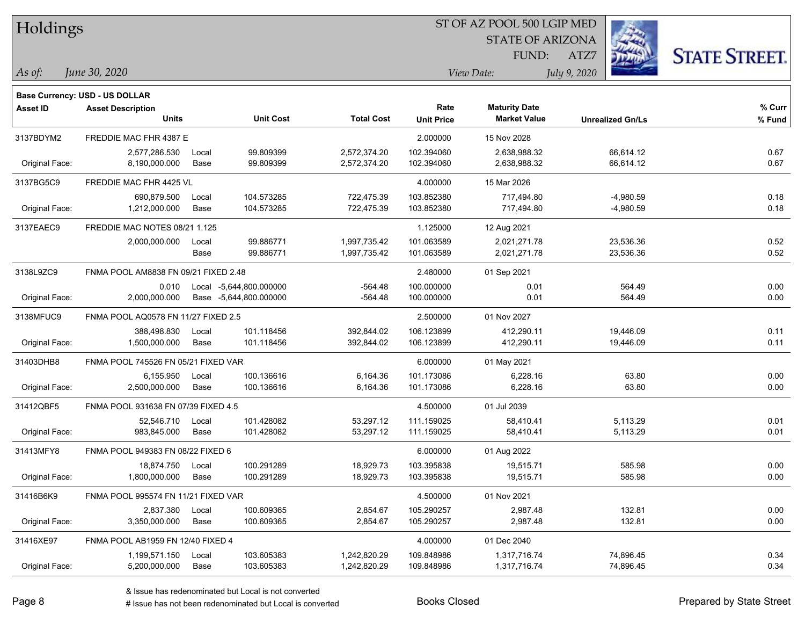| Holdings        |                                          |       |                         |                   | ST OF AZ POOL 500 LGIP MED |                                             |                         |                      |  |  |
|-----------------|------------------------------------------|-------|-------------------------|-------------------|----------------------------|---------------------------------------------|-------------------------|----------------------|--|--|
|                 |                                          |       |                         |                   |                            | <b>STATE OF ARIZONA</b>                     |                         |                      |  |  |
|                 |                                          |       |                         |                   |                            | FUND:                                       | ATZ7                    | <b>STATE STREET.</b> |  |  |
| As of:          | June 30, 2020                            |       |                         |                   |                            | View Date:                                  | July 9, 2020            |                      |  |  |
|                 |                                          |       |                         |                   |                            |                                             |                         |                      |  |  |
|                 | <b>Base Currency: USD - US DOLLAR</b>    |       |                         |                   |                            |                                             |                         |                      |  |  |
| <b>Asset ID</b> | <b>Asset Description</b><br><b>Units</b> |       | <b>Unit Cost</b>        | <b>Total Cost</b> | Rate                       | <b>Maturity Date</b><br><b>Market Value</b> |                         | % Curr               |  |  |
|                 |                                          |       |                         |                   | <b>Unit Price</b>          |                                             | <b>Unrealized Gn/Ls</b> | % Fund               |  |  |
| 3137BDYM2       | FREDDIE MAC FHR 4387 E                   |       |                         |                   | 2.000000                   | 15 Nov 2028                                 |                         |                      |  |  |
|                 | 2,577,286.530                            | Local | 99.809399               | 2,572,374.20      | 102.394060                 | 2,638,988.32                                | 66,614.12               | 0.67                 |  |  |
| Original Face:  | 8,190,000.000                            | Base  | 99.809399               | 2,572,374.20      | 102.394060                 | 2,638,988.32                                | 66,614.12               | 0.67                 |  |  |
| 3137BG5C9       | FREDDIE MAC FHR 4425 VL                  |       |                         |                   | 4.000000                   | 15 Mar 2026                                 |                         |                      |  |  |
|                 | 690,879.500                              | Local | 104.573285              | 722,475.39        | 103.852380                 | 717,494.80                                  | $-4,980.59$             | 0.18                 |  |  |
| Original Face:  | 1,212,000.000                            | Base  | 104.573285              | 722,475.39        | 103.852380                 | 717,494.80                                  | $-4,980.59$             | 0.18                 |  |  |
| 3137EAEC9       | FREDDIE MAC NOTES 08/21 1.125            |       |                         |                   | 1.125000                   | 12 Aug 2021                                 |                         |                      |  |  |
|                 | 2,000,000.000                            | Local | 99.886771               | 1,997,735.42      | 101.063589                 | 2,021,271.78                                | 23,536.36               | 0.52                 |  |  |
|                 |                                          | Base  | 99.886771               | 1,997,735.42      | 101.063589                 | 2,021,271.78                                | 23,536.36               | 0.52                 |  |  |
| 3138L9ZC9       | FNMA POOL AM8838 FN 09/21 FIXED 2.48     |       |                         |                   | 2.480000                   | 01 Sep 2021                                 |                         |                      |  |  |
|                 | 0.010                                    |       | Local -5,644,800.000000 | $-564.48$         | 100.000000                 | 0.01                                        | 564.49                  | 0.00                 |  |  |
| Original Face:  | 2,000,000.000                            |       | Base -5,644,800.000000  | $-564.48$         | 100.000000                 | 0.01                                        | 564.49                  | 0.00                 |  |  |
| 3138MFUC9       | FNMA POOL AQ0578 FN 11/27 FIXED 2.5      |       |                         |                   | 2.500000                   | 01 Nov 2027                                 |                         |                      |  |  |
|                 | 388,498.830                              | Local | 101.118456              | 392,844.02        | 106.123899                 | 412,290.11                                  | 19,446.09               | 0.11                 |  |  |
| Original Face:  | 1,500,000.000                            | Base  | 101.118456              | 392,844.02        | 106.123899                 | 412,290.11                                  | 19,446.09               | 0.11                 |  |  |
| 31403DHB8       | FNMA POOL 745526 FN 05/21 FIXED VAR      |       |                         |                   | 6.000000                   | 01 May 2021                                 |                         |                      |  |  |
|                 | 6,155.950                                | Local | 100.136616              | 6,164.36          | 101.173086                 | 6,228.16                                    | 63.80                   | 0.00                 |  |  |
| Original Face:  | 2,500,000.000                            | Base  | 100.136616              | 6,164.36          | 101.173086                 | 6,228.16                                    | 63.80                   | 0.00                 |  |  |
| 31412QBF5       | FNMA POOL 931638 FN 07/39 FIXED 4.5      |       |                         |                   | 4.500000                   | 01 Jul 2039                                 |                         |                      |  |  |
|                 | 52,546.710                               | Local | 101.428082              | 53,297.12         | 111.159025                 | 58,410.41                                   | 5,113.29                | 0.01                 |  |  |
| Original Face:  | 983,845.000                              | Base  | 101.428082              | 53,297.12         | 111.159025                 | 58,410.41                                   | 5,113.29                | 0.01                 |  |  |
| 31413MFY8       | FNMA POOL 949383 FN 08/22 FIXED 6        |       |                         |                   | 6.000000                   | 01 Aug 2022                                 |                         |                      |  |  |
|                 | 18,874.750                               | Local | 100.291289              | 18,929.73         | 103.395838                 | 19,515.71                                   | 585.98                  | 0.00                 |  |  |
| Original Face:  | 1,800,000.000                            | Base  | 100.291289              | 18,929.73         | 103.395838                 | 19,515.71                                   | 585.98                  | 0.00                 |  |  |
| 31416B6K9       | FNMA POOL 995574 FN 11/21 FIXED VAR      |       |                         |                   | 4.500000                   | 01 Nov 2021                                 |                         |                      |  |  |
|                 | 2,837.380                                | Local | 100.609365              | 2,854.67          | 105.290257                 | 2,987.48                                    | 132.81                  | 0.00                 |  |  |
| Original Face:  | 3,350,000.000                            | Base  | 100.609365              | 2,854.67          | 105.290257                 | 2,987.48                                    | 132.81                  | 0.00                 |  |  |
| 31416XE97       | FNMA POOL AB1959 FN 12/40 FIXED 4        |       |                         |                   | 4.000000                   | 01 Dec 2040                                 |                         |                      |  |  |
|                 | 1,199,571.150                            | Local | 103.605383              | 1,242,820.29      | 109.848986                 | 1,317,716.74                                | 74,896.45               | 0.34                 |  |  |
| Original Face:  | 5,200,000.000                            | Base  | 103.605383              | 1,242,820.29      | 109.848986                 | 1,317,716.74                                | 74,896.45               | 0.34                 |  |  |

denote the redenominated but Local is converted Books Closed Prepared by State Street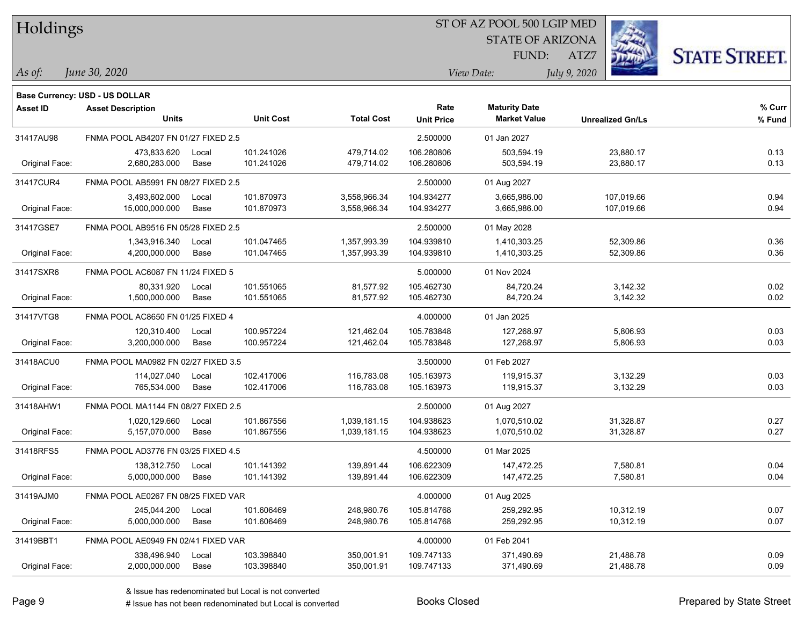| Holdings |  |
|----------|--|
|----------|--|

#### ST OF AZ POOL 500 LGIP MED

STATE OF ARIZONA



*June 30, 2020 As of: View Date: July 9, 2020*

**Base Currency: USD - US DOLLAR**

ATZ7 FUND:

| Asset ID       | <b>Asset Description</b>            |       | <b>Unit Cost</b> | <b>Total Cost</b> | Rate              | <b>Maturity Date</b> |                         | % Curr |
|----------------|-------------------------------------|-------|------------------|-------------------|-------------------|----------------------|-------------------------|--------|
|                | <b>Units</b>                        |       |                  |                   | <b>Unit Price</b> | <b>Market Value</b>  | <b>Unrealized Gn/Ls</b> | % Fund |
| 31417AU98      | FNMA POOL AB4207 FN 01/27 FIXED 2.5 |       |                  |                   | 2.500000          | 01 Jan 2027          |                         |        |
|                | 473,833.620                         | Local | 101.241026       | 479,714.02        | 106.280806        | 503,594.19           | 23,880.17               | 0.13   |
| Original Face: | 2,680,283.000                       | Base  | 101.241026       | 479,714.02        | 106.280806        | 503,594.19           | 23,880.17               | 0.13   |
| 31417CUR4      | FNMA POOL AB5991 FN 08/27 FIXED 2.5 |       |                  |                   | 2.500000          | 01 Aug 2027          |                         |        |
|                | 3,493,602.000                       | Local | 101.870973       | 3,558,966.34      | 104.934277        | 3,665,986.00         | 107,019.66              | 0.94   |
| Original Face: | 15,000,000.000                      | Base  | 101.870973       | 3,558,966.34      | 104.934277        | 3,665,986.00         | 107,019.66              | 0.94   |
| 31417GSE7      | FNMA POOL AB9516 FN 05/28 FIXED 2.5 |       |                  |                   | 2.500000          | 01 May 2028          |                         |        |
|                | 1,343,916.340                       | Local | 101.047465       | 1,357,993.39      | 104.939810        | 1,410,303.25         | 52,309.86               | 0.36   |
| Original Face: | 4,200,000.000                       | Base  | 101.047465       | 1,357,993.39      | 104.939810        | 1,410,303.25         | 52,309.86               | 0.36   |
| 31417SXR6      | FNMA POOL AC6087 FN 11/24 FIXED 5   |       |                  |                   | 5.000000          | 01 Nov 2024          |                         |        |
|                | 80.331.920                          | Local | 101.551065       | 81,577.92         | 105.462730        | 84,720.24            | 3,142.32                | 0.02   |
| Original Face: | 1,500,000.000                       | Base  | 101.551065       | 81,577.92         | 105.462730        | 84,720.24            | 3,142.32                | 0.02   |
| 31417VTG8      | FNMA POOL AC8650 FN 01/25 FIXED 4   |       |                  |                   | 4.000000          | 01 Jan 2025          |                         |        |
|                | 120,310.400                         | Local | 100.957224       | 121,462.04        | 105.783848        | 127,268.97           | 5,806.93                | 0.03   |
| Original Face: | 3,200,000.000                       | Base  | 100.957224       | 121,462.04        | 105.783848        | 127,268.97           | 5,806.93                | 0.03   |
| 31418ACU0      | FNMA POOL MA0982 FN 02/27 FIXED 3.5 |       |                  |                   | 3.500000          | 01 Feb 2027          |                         |        |
|                | 114,027.040                         | Local | 102.417006       | 116,783.08        | 105.163973        | 119,915.37           | 3,132.29                | 0.03   |
| Original Face: | 765,534.000                         | Base  | 102.417006       | 116,783.08        | 105.163973        | 119,915.37           | 3,132.29                | 0.03   |
| 31418AHW1      | FNMA POOL MA1144 FN 08/27 FIXED 2.5 |       |                  |                   | 2.500000          | 01 Aug 2027          |                         |        |
|                | 1,020,129.660                       | Local | 101.867556       | 1,039,181.15      | 104.938623        | 1,070,510.02         | 31,328.87               | 0.27   |
| Original Face: | 5,157,070.000                       | Base  | 101.867556       | 1,039,181.15      | 104.938623        | 1,070,510.02         | 31,328.87               | 0.27   |
| 31418RFS5      | FNMA POOL AD3776 FN 03/25 FIXED 4.5 |       |                  |                   | 4.500000          | 01 Mar 2025          |                         |        |
|                | 138,312.750                         | Local | 101.141392       | 139,891.44        | 106.622309        | 147,472.25           | 7,580.81                | 0.04   |
| Original Face: | 5,000,000.000                       | Base  | 101.141392       | 139,891.44        | 106.622309        | 147,472.25           | 7,580.81                | 0.04   |
| 31419AJM0      | FNMA POOL AE0267 FN 08/25 FIXED VAR |       |                  |                   | 4.000000          | 01 Aug 2025          |                         |        |
|                | 245,044.200                         | Local | 101.606469       | 248,980.76        | 105.814768        | 259,292.95           | 10,312.19               | 0.07   |
| Original Face: | 5,000,000.000                       | Base  | 101.606469       | 248,980.76        | 105.814768        | 259,292.95           | 10,312.19               | 0.07   |
| 31419BBT1      | FNMA POOL AE0949 FN 02/41 FIXED VAR |       |                  |                   | 4.000000          | 01 Feb 2041          |                         |        |
|                | 338,496.940                         | Local | 103.398840       | 350,001.91        | 109.747133        | 371,490.69           | 21,488.78               | 0.09   |
| Original Face: | 2,000,000.000                       | Base  | 103.398840       | 350,001.91        | 109.747133        | 371,490.69           | 21,488.78               | 0.09   |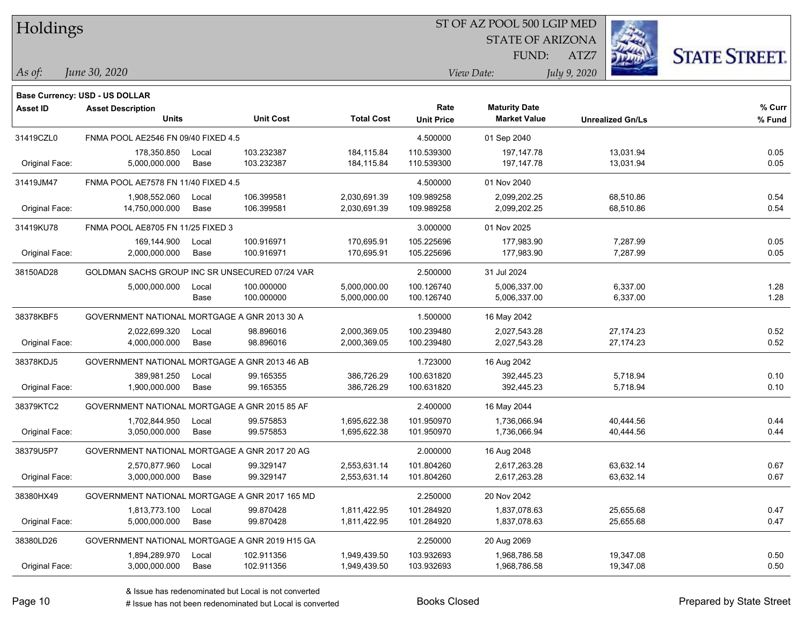| Holdings        |                                                |       |                  |                   |                   | ST OF AZ POOL 500 LGIP MED |                         |             |                      |
|-----------------|------------------------------------------------|-------|------------------|-------------------|-------------------|----------------------------|-------------------------|-------------|----------------------|
|                 |                                                |       |                  |                   |                   | <b>STATE OF ARIZONA</b>    |                         |             |                      |
|                 |                                                |       |                  |                   |                   | FUND:                      | ATZ7                    |             | <b>STATE STREET.</b> |
| As of:          | June 30, 2020                                  |       |                  |                   |                   | View Date:                 | July 9, 2020            |             |                      |
|                 | <b>Base Currency: USD - US DOLLAR</b>          |       |                  |                   |                   |                            |                         |             |                      |
| <b>Asset ID</b> | <b>Asset Description</b>                       |       |                  |                   | Rate              | <b>Maturity Date</b>       |                         |             | % Curr               |
|                 | <b>Units</b>                                   |       | <b>Unit Cost</b> | <b>Total Cost</b> | <b>Unit Price</b> | <b>Market Value</b>        | <b>Unrealized Gn/Ls</b> |             | % Fund               |
| 31419CZL0       | FNMA POOL AE2546 FN 09/40 FIXED 4.5            |       |                  |                   | 4.500000          | 01 Sep 2040                |                         |             |                      |
|                 | 178,350.850                                    | Local | 103.232387       | 184,115.84        | 110.539300        | 197,147.78                 |                         | 13,031.94   | 0.05                 |
| Original Face:  | 5.000.000.000                                  | Base  | 103.232387       | 184,115.84        | 110.539300        | 197,147.78                 |                         | 13,031.94   | 0.05                 |
| 31419JM47       | FNMA POOL AE7578 FN 11/40 FIXED 4.5            |       |                  |                   | 4.500000          | 01 Nov 2040                |                         |             |                      |
|                 | 1,908,552.060                                  | Local | 106.399581       | 2,030,691.39      | 109.989258        | 2,099,202.25               |                         | 68,510.86   | 0.54                 |
| Original Face:  | 14,750,000.000                                 | Base  | 106.399581       | 2,030,691.39      | 109.989258        | 2,099,202.25               |                         | 68,510.86   | 0.54                 |
| 31419KU78       | FNMA POOL AE8705 FN 11/25 FIXED 3              |       |                  |                   | 3.000000          | 01 Nov 2025                |                         |             |                      |
|                 | 169,144.900                                    | Local | 100.916971       | 170,695.91        | 105.225696        | 177,983.90                 |                         | 7,287.99    | 0.05                 |
| Original Face:  | 2,000,000.000                                  | Base  | 100.916971       | 170,695.91        | 105.225696        | 177,983.90                 |                         | 7,287.99    | 0.05                 |
| 38150AD28       | GOLDMAN SACHS GROUP INC SR UNSECURED 07/24 VAR |       |                  |                   | 2.500000          | 31 Jul 2024                |                         |             |                      |
|                 | 5,000,000.000                                  | Local | 100.000000       | 5,000,000.00      | 100.126740        | 5,006,337.00               |                         | 6,337.00    | 1.28                 |
|                 |                                                | Base  | 100.000000       | 5,000,000.00      | 100.126740        | 5,006,337.00               |                         | 6,337.00    | 1.28                 |
| 38378KBF5       | GOVERNMENT NATIONAL MORTGAGE A GNR 2013 30 A   |       |                  |                   | 1.500000          | 16 May 2042                |                         |             |                      |
|                 | 2,022,699.320                                  | Local | 98.896016        | 2,000,369.05      | 100.239480        | 2,027,543.28               |                         | 27, 174. 23 | 0.52                 |
| Original Face:  | 4,000,000.000                                  | Base  | 98.896016        | 2,000,369.05      | 100.239480        | 2,027,543.28               |                         | 27, 174. 23 | 0.52                 |
| 38378KDJ5       | GOVERNMENT NATIONAL MORTGAGE A GNR 2013 46 AB  |       |                  |                   | 1.723000          | 16 Aug 2042                |                         |             |                      |
|                 | 389,981.250                                    | Local | 99.165355        | 386,726.29        | 100.631820        | 392,445.23                 |                         | 5,718.94    | 0.10                 |
| Original Face:  | 1,900,000.000                                  | Base  | 99.165355        | 386,726.29        | 100.631820        | 392,445.23                 |                         | 5,718.94    | 0.10                 |
| 38379KTC2       | GOVERNMENT NATIONAL MORTGAGE A GNR 2015 85 AF  |       |                  |                   | 2.400000          | 16 May 2044                |                         |             |                      |
|                 | 1,702,844.950                                  | Local | 99.575853        | 1,695,622.38      | 101.950970        | 1,736,066.94               |                         | 40,444.56   | 0.44                 |
| Original Face:  | 3,050,000.000                                  | Base  | 99.575853        | 1,695,622.38      | 101.950970        | 1,736,066.94               |                         | 40,444.56   | 0.44                 |
| 38379U5P7       | GOVERNMENT NATIONAL MORTGAGE A GNR 2017 20 AG  |       |                  |                   | 2.000000          | 16 Aug 2048                |                         |             |                      |
|                 | 2,570,877.960                                  | Local | 99.329147        | 2,553,631.14      | 101.804260        | 2,617,263.28               |                         | 63,632.14   | 0.67                 |
| Original Face:  | 3,000,000.000                                  | Base  | 99.329147        | 2,553,631.14      | 101.804260        | 2,617,263.28               |                         | 63,632.14   | 0.67                 |
| 38380HX49       | GOVERNMENT NATIONAL MORTGAGE A GNR 2017 165 MD |       |                  |                   | 2.250000          | 20 Nov 2042                |                         |             |                      |
|                 | 1,813,773.100                                  | Local | 99.870428        | 1,811,422.95      | 101.284920        | 1,837,078.63               |                         | 25,655.68   | 0.47                 |
| Original Face:  | 5,000,000.000                                  | Base  | 99.870428        | 1,811,422.95      | 101.284920        | 1,837,078.63               |                         | 25,655.68   | 0.47                 |
| 38380LD26       | GOVERNMENT NATIONAL MORTGAGE A GNR 2019 H15 GA |       |                  |                   | 2.250000          | 20 Aug 2069                |                         |             |                      |
|                 | 1,894,289.970                                  | Local | 102.911356       | 1,949,439.50      | 103.932693        | 1,968,786.58               |                         | 19,347.08   | 0.50                 |
| Original Face:  | 3,000,000.000                                  | Base  | 102.911356       | 1,949,439.50      | 103.932693        | 1,968,786.58               |                         | 19,347.08   | 0.50                 |

e e

 $\overline{\phantom{a}}$ 

 $\overline{\phantom{0}}$ 

 $\overline{\phantom{0}}$ 

÷.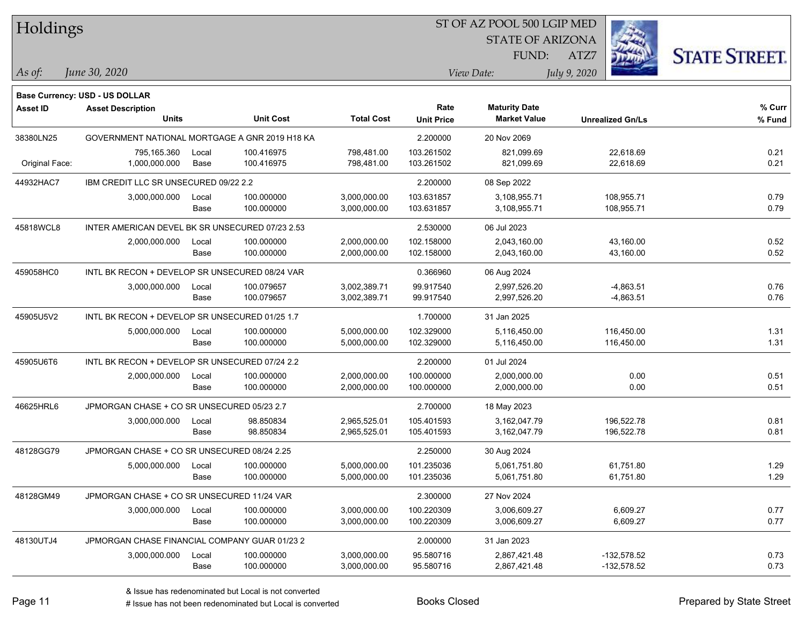| Holdings        |                                                                   |       |                  |                   |                   | ST OF AZ POOL 500 LGIP MED |                         |                      |
|-----------------|-------------------------------------------------------------------|-------|------------------|-------------------|-------------------|----------------------------|-------------------------|----------------------|
|                 |                                                                   |       |                  |                   |                   | <b>STATE OF ARIZONA</b>    |                         |                      |
|                 |                                                                   |       |                  |                   |                   | FUND:                      | ATZ7                    | <b>STATE STREET.</b> |
| As of:          | June 30, 2020                                                     |       |                  |                   |                   | View Date:                 | July 9, 2020            |                      |
|                 |                                                                   |       |                  |                   |                   |                            |                         |                      |
| <b>Asset ID</b> | <b>Base Currency: USD - US DOLLAR</b><br><b>Asset Description</b> |       |                  |                   | Rate              | <b>Maturity Date</b>       |                         | % Curr               |
|                 | <b>Units</b>                                                      |       | <b>Unit Cost</b> | <b>Total Cost</b> | <b>Unit Price</b> | <b>Market Value</b>        | <b>Unrealized Gn/Ls</b> | % Fund               |
| 38380LN25       | GOVERNMENT NATIONAL MORTGAGE A GNR 2019 H18 KA                    |       |                  |                   | 2.200000          | 20 Nov 2069                |                         |                      |
|                 | 795,165.360                                                       | Local | 100.416975       | 798,481.00        | 103.261502        | 821,099.69                 | 22,618.69               | 0.21                 |
| Original Face:  | 1,000,000.000                                                     | Base  | 100.416975       | 798,481.00        | 103.261502        | 821,099.69                 | 22,618.69               | 0.21                 |
| 44932HAC7       | IBM CREDIT LLC SR UNSECURED 09/22 2.2                             |       |                  |                   | 2.200000          | 08 Sep 2022                |                         |                      |
|                 | 3,000,000.000                                                     | Local | 100.000000       | 3,000,000.00      | 103.631857        | 3,108,955.71               | 108,955.71              | 0.79                 |
|                 |                                                                   | Base  | 100.000000       | 3,000,000.00      | 103.631857        | 3,108,955.71               | 108,955.71              | 0.79                 |
| 45818WCL8       | INTER AMERICAN DEVEL BK SR UNSECURED 07/23 2.53                   |       |                  |                   | 2.530000          | 06 Jul 2023                |                         |                      |
|                 | 2,000,000.000                                                     | Local | 100.000000       | 2,000,000.00      | 102.158000        | 2,043,160.00               | 43,160.00               | 0.52                 |
|                 |                                                                   | Base  | 100.000000       | 2,000,000.00      | 102.158000        | 2,043,160.00               | 43,160.00               | 0.52                 |
| 459058HC0       | INTL BK RECON + DEVELOP SR UNSECURED 08/24 VAR                    |       |                  |                   | 0.366960          | 06 Aug 2024                |                         |                      |
|                 | 3,000,000.000                                                     | Local | 100.079657       | 3,002,389.71      | 99.917540         | 2,997,526.20               | $-4,863.51$             | 0.76                 |
|                 |                                                                   | Base  | 100.079657       | 3,002,389.71      | 99.917540         | 2,997,526.20               | $-4,863.51$             | 0.76                 |
| 45905U5V2       | INTL BK RECON + DEVELOP SR UNSECURED 01/25 1.7                    |       |                  |                   | 1.700000          | 31 Jan 2025                |                         |                      |
|                 | 5,000,000.000                                                     | Local | 100.000000       | 5,000,000.00      | 102.329000        | 5,116,450.00               | 116,450.00              | 1.31                 |
|                 |                                                                   | Base  | 100.000000       | 5,000,000.00      | 102.329000        | 5,116,450.00               | 116,450.00              | 1.31                 |
| 45905U6T6       | INTL BK RECON + DEVELOP SR UNSECURED 07/24 2.2                    |       |                  |                   | 2.200000          | 01 Jul 2024                |                         |                      |
|                 | 2,000,000.000                                                     | Local | 100.000000       | 2,000,000.00      | 100.000000        | 2,000,000.00               | 0.00                    | 0.51                 |
|                 |                                                                   | Base  | 100.000000       | 2,000,000.00      | 100.000000        | 2,000,000.00               | 0.00                    | 0.51                 |
| 46625HRL6       | JPMORGAN CHASE + CO SR UNSECURED 05/23 2.7                        |       |                  |                   | 2.700000          | 18 May 2023                |                         |                      |
|                 | 3,000,000.000                                                     | Local | 98.850834        | 2,965,525.01      | 105.401593        | 3,162,047.79               | 196,522.78              | 0.81                 |
|                 |                                                                   | Base  | 98.850834        | 2,965,525.01      | 105.401593        | 3,162,047.79               | 196,522.78              | 0.81                 |
| 48128GG79       | JPMORGAN CHASE + CO SR UNSECURED 08/24 2.25                       |       |                  |                   | 2.250000          | 30 Aug 2024                |                         |                      |
|                 | 5,000,000.000                                                     | Local | 100.000000       | 5,000,000.00      | 101.235036        | 5,061,751.80               | 61,751.80               | 1.29                 |
|                 |                                                                   | Base  | 100.000000       | 5,000,000.00      | 101.235036        | 5,061,751.80               | 61,751.80               | 1.29                 |
| 48128GM49       | JPMORGAN CHASE + CO SR UNSECURED 11/24 VAR                        |       |                  |                   | 2.300000          | 27 Nov 2024                |                         |                      |
|                 | 3,000,000.000                                                     | Local | 100.000000       | 3,000,000.00      | 100.220309        | 3,006,609.27               | 6,609.27                | 0.77                 |
|                 |                                                                   | Base  | 100.000000       | 3,000,000.00      | 100.220309        | 3,006,609.27               | 6,609.27                | 0.77                 |
| 48130UTJ4       | JPMORGAN CHASE FINANCIAL COMPANY GUAR 01/23 2                     |       |                  |                   | 2.000000          | 31 Jan 2023                |                         |                      |
|                 | 3,000,000.000                                                     | Local | 100.000000       | 3,000,000.00      | 95.580716         | 2,867,421.48               | $-132,578.52$           | 0.73                 |
|                 |                                                                   | Base  | 100.000000       | 3,000,000.00      | 95.580716         | 2,867,421.48               | $-132,578.52$           | 0.73                 |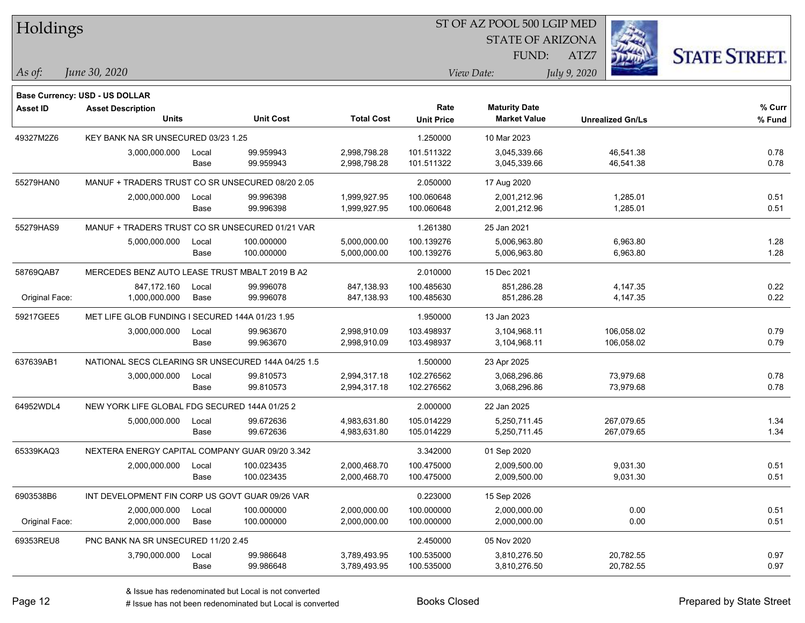| <b>Holdings</b> |                                                    |       |                  |                   |                   | 51 OF AZ POOL 500 LGIP MED |                         |                      |
|-----------------|----------------------------------------------------|-------|------------------|-------------------|-------------------|----------------------------|-------------------------|----------------------|
|                 |                                                    |       |                  |                   |                   | <b>STATE OF ARIZONA</b>    |                         |                      |
|                 |                                                    |       |                  |                   |                   | FUND:                      | ATZ7                    | <b>STATE STREET.</b> |
| As of:          | June 30, 2020                                      |       |                  |                   |                   | View Date:                 | July 9, 2020            |                      |
|                 |                                                    |       |                  |                   |                   |                            |                         |                      |
|                 | Base Currency: USD - US DOLLAR                     |       |                  |                   |                   |                            |                         |                      |
| <b>Asset ID</b> | <b>Asset Description</b>                           |       |                  |                   | Rate              | <b>Maturity Date</b>       |                         | % Curr               |
|                 | <b>Units</b>                                       |       | <b>Unit Cost</b> | <b>Total Cost</b> | <b>Unit Price</b> | <b>Market Value</b>        | <b>Unrealized Gn/Ls</b> | % Fund               |
| 49327M2Z6       | KEY BANK NA SR UNSECURED 03/23 1.25                |       |                  |                   | 1.250000          | 10 Mar 2023                |                         |                      |
|                 | 3,000,000.000                                      | Local | 99.959943        | 2,998,798.28      | 101.511322        | 3,045,339.66               | 46,541.38               | 0.78                 |
|                 |                                                    | Base  | 99.959943        | 2,998,798.28      | 101.511322        | 3,045,339.66               | 46,541.38               | 0.78                 |
| 55279HAN0       | MANUF + TRADERS TRUST CO SR UNSECURED 08/20 2.05   |       |                  |                   | 2.050000          | 17 Aug 2020                |                         |                      |
|                 | 2,000,000.000                                      | Local | 99.996398        | 1,999,927.95      | 100.060648        | 2,001,212.96               | 1,285.01                | 0.51                 |
|                 |                                                    | Base  | 99.996398        | 1,999,927.95      | 100.060648        | 2,001,212.96               | 1,285.01                | 0.51                 |
| 55279HAS9       | MANUF + TRADERS TRUST CO SR UNSECURED 01/21 VAR    |       |                  |                   | 1.261380          | 25 Jan 2021                |                         |                      |
|                 | 5,000,000.000                                      | Local | 100.000000       | 5,000,000.00      | 100.139276        | 5,006,963.80               | 6,963.80                | 1.28                 |
|                 |                                                    | Base  | 100.000000       | 5,000,000.00      | 100.139276        | 5,006,963.80               | 6,963.80                | 1.28                 |
| 58769QAB7       | MERCEDES BENZ AUTO LEASE TRUST MBALT 2019 B A2     |       |                  |                   | 2.010000          | 15 Dec 2021                |                         |                      |
|                 | 847,172.160                                        | Local | 99.996078        | 847,138.93        | 100.485630        | 851,286.28                 | 4,147.35                | 0.22                 |
| Original Face:  | 1,000,000.000                                      | Base  | 99.996078        | 847,138.93        | 100.485630        | 851,286.28                 | 4,147.35                | 0.22                 |
| 59217GEE5       | MET LIFE GLOB FUNDING I SECURED 144A 01/23 1.95    |       |                  |                   | 1.950000          | 13 Jan 2023                |                         |                      |
|                 | 3,000,000.000                                      | Local | 99.963670        | 2,998,910.09      | 103.498937        | 3,104,968.11               | 106,058.02              | 0.79                 |
|                 |                                                    | Base  | 99.963670        | 2,998,910.09      | 103.498937        | 3,104,968.11               | 106,058.02              | 0.79                 |
| 637639AB1       | NATIONAL SECS CLEARING SR UNSECURED 144A 04/25 1.5 |       |                  |                   | 1.500000          | 23 Apr 2025                |                         |                      |
|                 | 3,000,000.000                                      | Local | 99.810573        | 2,994,317.18      | 102.276562        | 3,068,296.86               | 73,979.68               | 0.78                 |
|                 |                                                    | Base  | 99.810573        | 2,994,317.18      | 102.276562        | 3,068,296.86               | 73,979.68               | 0.78                 |
| 64952WDL4       | NEW YORK LIFE GLOBAL FDG SECURED 144A 01/25 2      |       |                  |                   | 2.000000          | 22 Jan 2025                |                         |                      |
|                 | 5,000,000.000                                      | Local | 99.672636        | 4,983,631.80      | 105.014229        | 5,250,711.45               | 267,079.65              | 1.34                 |
|                 |                                                    | Base  | 99.672636        | 4,983,631.80      | 105.014229        | 5,250,711.45               | 267,079.65              | 1.34                 |
| 65339KAQ3       | NEXTERA ENERGY CAPITAL COMPANY GUAR 09/20 3.342    |       |                  |                   | 3.342000          | 01 Sep 2020                |                         |                      |
|                 | 2,000,000.000                                      | Local | 100.023435       | 2,000,468.70      | 100.475000        | 2,009,500.00               | 9,031.30                | 0.51                 |
|                 |                                                    | Base  | 100.023435       | 2,000,468.70      | 100.475000        | 2,009,500.00               | 9,031.30                | 0.51                 |
| 6903538B6       | INT DEVELOPMENT FIN CORP US GOVT GUAR 09/26 VAR    |       |                  |                   | 0.223000          | 15 Sep 2026                |                         |                      |
|                 | 2,000,000.000                                      | Local | 100.000000       | 2,000,000.00      | 100.000000        | 2,000,000.00               | 0.00                    | 0.51                 |
| Original Face:  | 2,000,000.000                                      | Base  | 100.000000       | 2,000,000.00      | 100.000000        | 2,000,000.00               | 0.00                    | 0.51                 |
| 69353REU8       | PNC BANK NA SR UNSECURED 11/20 2.45                |       |                  |                   | 2.450000          | 05 Nov 2020                |                         |                      |
|                 | 3,790,000.000                                      | Local | 99.986648        | 3,789,493.95      | 100.535000        | 3,810,276.50               | 20,782.55               | 0.97                 |
|                 |                                                    | Base  | 99.986648        | 3,789,493.95      | 100.535000        | 3,810,276.50               | 20,782.55               | 0.97                 |
|                 |                                                    |       |                  |                   |                   |                            |                         |                      |

 $\overline{B}$   $\overline{B}$   $\overline{B}$   $\overline{B}$   $\overline{C}$   $\overline{D}$   $\overline{D}$   $\overline{D}$   $\overline{D}$   $\overline{D}$   $\overline{D}$   $\overline{D}$   $\overline{D}$   $\overline{D}$   $\overline{D}$   $\overline{D}$   $\overline{D}$   $\overline{D}$   $\overline{D}$   $\overline{D}$   $\overline{D}$   $\overline{D}$   $\overline{D}$   $\overline{D}$   $\overline{$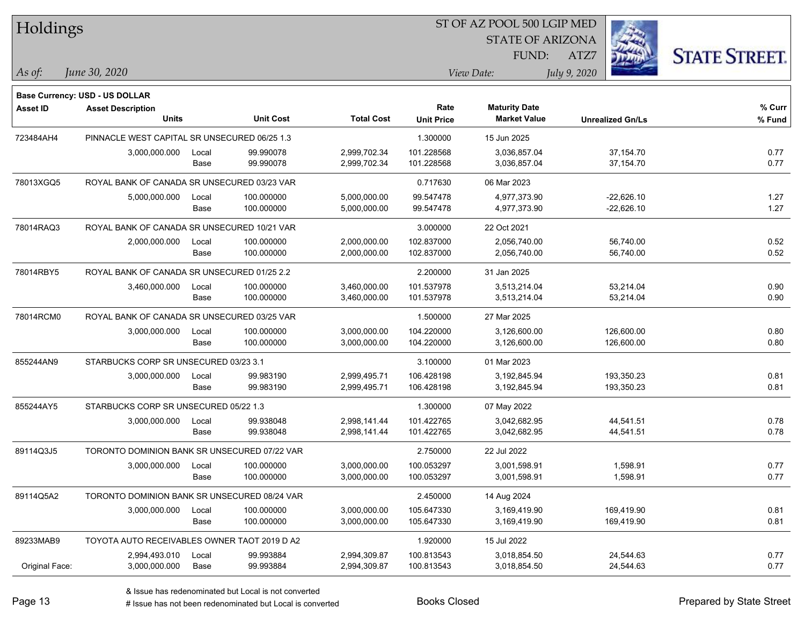| Holdings        |                                              |       |                  |                   |                   | ST OF AZ POOL 500 LGIP MED |                         |                      |
|-----------------|----------------------------------------------|-------|------------------|-------------------|-------------------|----------------------------|-------------------------|----------------------|
|                 |                                              |       |                  |                   |                   | <b>STATE OF ARIZONA</b>    |                         |                      |
|                 |                                              |       |                  |                   |                   | FUND:                      | ATZ7                    | <b>STATE STREET.</b> |
| As of:          | June 30, 2020                                |       |                  |                   |                   | View Date:                 | July 9, 2020            |                      |
|                 | Base Currency: USD - US DOLLAR               |       |                  |                   |                   |                            |                         |                      |
| <b>Asset ID</b> | <b>Asset Description</b>                     |       |                  |                   | Rate              | <b>Maturity Date</b>       |                         | % Curr               |
|                 | <b>Units</b>                                 |       | <b>Unit Cost</b> | <b>Total Cost</b> | <b>Unit Price</b> | <b>Market Value</b>        | <b>Unrealized Gn/Ls</b> | % Fund               |
| 723484AH4       | PINNACLE WEST CAPITAL SR UNSECURED 06/25 1.3 |       |                  |                   | 1.300000          | 15 Jun 2025                |                         |                      |
|                 | 3,000,000.000                                | Local | 99.990078        | 2,999,702.34      | 101.228568        | 3,036,857.04               | 37,154.70               | 0.77                 |
|                 |                                              | Base  | 99.990078        | 2,999,702.34      | 101.228568        | 3,036,857.04               | 37,154.70               | 0.77                 |
| 78013XGQ5       | ROYAL BANK OF CANADA SR UNSECURED 03/23 VAR  |       |                  |                   | 0.717630          | 06 Mar 2023                |                         |                      |
|                 | 5,000,000.000                                | Local | 100.000000       | 5,000,000.00      | 99.547478         | 4,977,373.90               | $-22,626.10$            | 1.27                 |
|                 |                                              | Base  | 100.000000       | 5,000,000.00      | 99.547478         | 4,977,373.90               | $-22,626.10$            | 1.27                 |
| 78014RAQ3       | ROYAL BANK OF CANADA SR UNSECURED 10/21 VAR  |       |                  |                   | 3.000000          | 22 Oct 2021                |                         |                      |
|                 | 2,000,000.000                                | Local | 100.000000       | 2,000,000.00      | 102.837000        | 2,056,740.00               | 56,740.00               | 0.52                 |
|                 |                                              | Base  | 100.000000       | 2,000,000.00      | 102.837000        | 2,056,740.00               | 56,740.00               | 0.52                 |
| 78014RBY5       | ROYAL BANK OF CANADA SR UNSECURED 01/25 2.2  |       |                  |                   | 2.200000          | 31 Jan 2025                |                         |                      |
|                 | 3,460,000.000                                | Local | 100.000000       | 3,460,000.00      | 101.537978        | 3,513,214.04               | 53,214.04               | 0.90                 |
|                 |                                              | Base  | 100.000000       | 3,460,000.00      | 101.537978        | 3,513,214.04               | 53,214.04               | 0.90                 |
| 78014RCM0       | ROYAL BANK OF CANADA SR UNSECURED 03/25 VAR  |       |                  |                   | 1.500000          | 27 Mar 2025                |                         |                      |
|                 | 3,000,000.000                                | Local | 100.000000       | 3,000,000.00      | 104.220000        | 3,126,600.00               | 126,600.00              | 0.80                 |
|                 |                                              | Base  | 100.000000       | 3,000,000.00      | 104.220000        | 3,126,600.00               | 126,600.00              | 0.80                 |
| 855244AN9       | STARBUCKS CORP SR UNSECURED 03/23 3.1        |       |                  |                   | 3.100000          | 01 Mar 2023                |                         |                      |
|                 | 3,000,000.000                                | Local | 99.983190        | 2,999,495.71      | 106.428198        | 3,192,845.94               | 193,350.23              | 0.81                 |
|                 |                                              | Base  | 99.983190        | 2,999,495.71      | 106.428198        | 3,192,845.94               | 193,350.23              | 0.81                 |
| 855244AY5       | STARBUCKS CORP SR UNSECURED 05/22 1.3        |       |                  |                   | 1.300000          | 07 May 2022                |                         |                      |
|                 | 3,000,000.000                                | Local | 99.938048        | 2,998,141.44      | 101.422765        | 3,042,682.95               | 44,541.51               | 0.78                 |
|                 |                                              | Base  | 99.938048        | 2,998,141.44      | 101.422765        | 3,042,682.95               | 44,541.51               | 0.78                 |
| 89114Q3J5       | TORONTO DOMINION BANK SR UNSECURED 07/22 VAR |       |                  |                   | 2.750000          | 22 Jul 2022                |                         |                      |
|                 | 3,000,000.000                                | Local | 100.000000       | 3,000,000.00      | 100.053297        | 3,001,598.91               | 1,598.91                | 0.77                 |
|                 |                                              | Base  | 100.000000       | 3,000,000.00      | 100.053297        | 3,001,598.91               | 1,598.91                | 0.77                 |
| 89114Q5A2       | TORONTO DOMINION BANK SR UNSECURED 08/24 VAR |       |                  |                   | 2.450000          | 14 Aug 2024                |                         |                      |
|                 | 3,000,000.000                                | Local | 100.000000       | 3,000,000.00      | 105.647330        | 3,169,419.90               | 169,419.90              | 0.81                 |
|                 |                                              | Base  | 100.000000       | 3,000,000.00      | 105.647330        | 3,169,419.90               | 169,419.90              | 0.81                 |
| 89233MAB9       | TOYOTA AUTO RECEIVABLES OWNER TAOT 2019 D A2 |       |                  |                   | 1.920000          | 15 Jul 2022                |                         |                      |
|                 | 2,994,493.010                                | Local | 99.993884        | 2,994,309.87      | 100.813543        | 3,018,854.50               | 24,544.63               | 0.77                 |
| Original Face:  | 3,000,000.000                                | Base  | 99.993884        | 2,994,309.87      | 100.813543        | 3,018,854.50               | 24,544.63               | 0.77                 |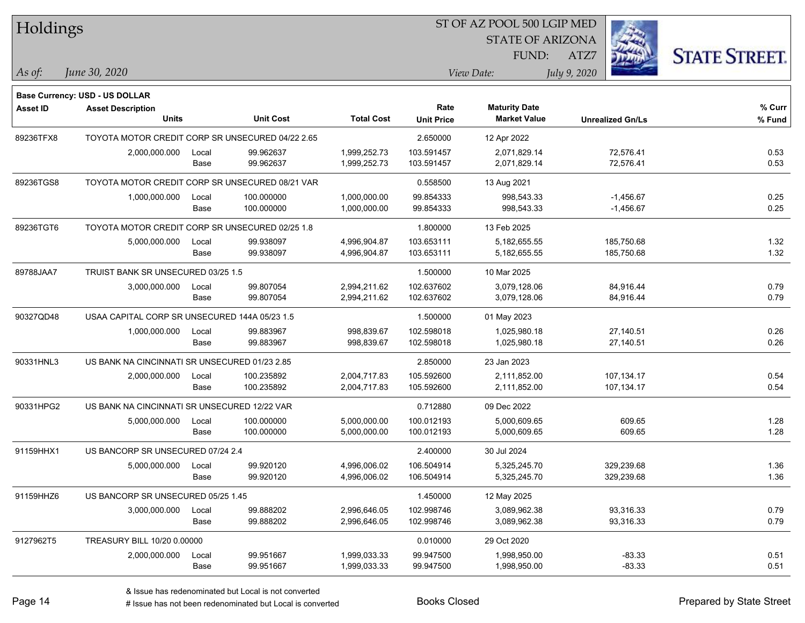| Holdings        |                                                  |       |                  |                   |                   | 51 OF AZ POOL 500 LGIP MED |                         |                      |
|-----------------|--------------------------------------------------|-------|------------------|-------------------|-------------------|----------------------------|-------------------------|----------------------|
|                 |                                                  |       |                  |                   |                   | <b>STATE OF ARIZONA</b>    | Ż.                      |                      |
|                 |                                                  |       |                  |                   |                   | FUND:                      | ATZ7                    | <b>STATE STREET.</b> |
|                 | June 30, 2020                                    |       |                  |                   |                   |                            |                         |                      |
| As of:          |                                                  |       |                  |                   |                   | View Date:                 | July 9, 2020            |                      |
|                 | <b>Base Currency: USD - US DOLLAR</b>            |       |                  |                   |                   |                            |                         |                      |
| <b>Asset ID</b> | <b>Asset Description</b>                         |       |                  |                   | Rate              | <b>Maturity Date</b>       |                         | % Curr               |
|                 | <b>Units</b>                                     |       | <b>Unit Cost</b> | <b>Total Cost</b> | <b>Unit Price</b> | <b>Market Value</b>        | <b>Unrealized Gn/Ls</b> | % Fund               |
| 89236TFX8       | TOYOTA MOTOR CREDIT CORP SR UNSECURED 04/22 2.65 |       |                  |                   | 2.650000          | 12 Apr 2022                |                         |                      |
|                 | 2,000,000.000                                    | Local | 99.962637        | 1,999,252.73      | 103.591457        | 2,071,829.14               | 72,576.41               | 0.53                 |
|                 |                                                  | Base  | 99.962637        | 1,999,252.73      | 103.591457        | 2,071,829.14               | 72,576.41               | 0.53                 |
| 89236TGS8       | TOYOTA MOTOR CREDIT CORP SR UNSECURED 08/21 VAR  |       |                  |                   | 0.558500          | 13 Aug 2021                |                         |                      |
|                 | 1,000,000.000                                    | Local | 100.000000       | 1,000,000.00      | 99.854333         | 998,543.33                 | $-1,456.67$             | 0.25                 |
|                 |                                                  | Base  | 100.000000       | 1,000,000.00      | 99.854333         | 998,543.33                 | $-1,456.67$             | 0.25                 |
| 89236TGT6       | TOYOTA MOTOR CREDIT CORP SR UNSECURED 02/25 1.8  |       |                  |                   | 1.800000          | 13 Feb 2025                |                         |                      |
|                 | 5,000,000.000                                    | Local | 99.938097        | 4,996,904.87      | 103.653111        | 5, 182, 655.55             | 185,750.68              | 1.32                 |
|                 |                                                  | Base  | 99.938097        | 4,996,904.87      | 103.653111        | 5,182,655.55               | 185,750.68              | 1.32                 |
| 89788JAA7       | TRUIST BANK SR UNSECURED 03/25 1.5               |       |                  |                   | 1.500000          | 10 Mar 2025                |                         |                      |
|                 | 3,000,000.000                                    | Local | 99.807054        | 2,994,211.62      | 102.637602        | 3,079,128.06               | 84,916.44               | 0.79                 |
|                 |                                                  | Base  | 99.807054        | 2,994,211.62      | 102.637602        | 3,079,128.06               | 84,916.44               | 0.79                 |
| 90327QD48       | USAA CAPITAL CORP SR UNSECURED 144A 05/23 1.5    |       |                  |                   | 1.500000          | 01 May 2023                |                         |                      |
|                 | 1,000,000.000                                    | Local | 99.883967        | 998,839.67        | 102.598018        | 1,025,980.18               | 27,140.51               | 0.26                 |
|                 |                                                  | Base  | 99.883967        | 998,839.67        | 102.598018        | 1,025,980.18               | 27,140.51               | 0.26                 |
| 90331HNL3       | US BANK NA CINCINNATI SR UNSECURED 01/23 2.85    |       |                  |                   | 2.850000          | 23 Jan 2023                |                         |                      |
|                 | 2,000,000.000                                    | Local | 100.235892       | 2,004,717.83      | 105.592600        | 2,111,852.00               | 107,134.17              | 0.54                 |
|                 |                                                  | Base  | 100.235892       | 2,004,717.83      | 105.592600        | 2,111,852.00               | 107,134.17              | 0.54                 |
| 90331HPG2       | US BANK NA CINCINNATI SR UNSECURED 12/22 VAR     |       |                  |                   | 0.712880          | 09 Dec 2022                |                         |                      |
|                 | 5,000,000.000                                    | Local | 100.000000       | 5,000,000.00      | 100.012193        | 5,000,609.65               | 609.65                  | 1.28                 |
|                 |                                                  | Base  | 100.000000       | 5,000,000.00      | 100.012193        | 5,000,609.65               | 609.65                  | 1.28                 |
| 91159HHX1       | US BANCORP SR UNSECURED 07/24 2.4                |       |                  |                   | 2.400000          | 30 Jul 2024                |                         |                      |
|                 | 5,000,000.000                                    | Local | 99.920120        | 4,996,006.02      | 106.504914        | 5,325,245.70               | 329,239.68              | 1.36                 |
|                 |                                                  | Base  | 99.920120        | 4,996,006.02      | 106.504914        | 5,325,245.70               | 329,239.68              | 1.36                 |
| 91159HHZ6       | US BANCORP SR UNSECURED 05/25 1.45               |       |                  |                   | 1.450000          | 12 May 2025                |                         |                      |
|                 | 3,000,000.000                                    | Local | 99.888202        | 2,996,646.05      | 102.998746        | 3,089,962.38               | 93,316.33               | 0.79                 |
|                 |                                                  | Base  | 99.888202        | 2,996,646.05      | 102.998746        | 3,089,962.38               | 93,316.33               | 0.79                 |
| 9127962T5       | TREASURY BILL 10/20 0.00000                      |       |                  |                   | 0.010000          | 29 Oct 2020                |                         |                      |
|                 | 2,000,000.000                                    | Local | 99.951667        | 1,999,033.33      | 99.947500         | 1,998,950.00               | $-83.33$                | 0.51                 |
|                 |                                                  | Base  | 99.951667        | 1,999,033.33      | 99.947500         | 1,998,950.00               | $-83.33$                | 0.51                 |
|                 |                                                  |       |                  |                   |                   |                            |                         |                      |

 $\overline{B}$   $\overline{B}$   $\overline{B}$   $\overline{B}$   $\overline{C}$   $\overline{D}$   $\overline{D}$   $\overline{D}$   $\overline{D}$   $\overline{D}$   $\overline{D}$   $\overline{D}$   $\overline{D}$   $\overline{D}$   $\overline{D}$   $\overline{D}$   $\overline{D}$   $\overline{D}$   $\overline{D}$   $\overline{D}$   $\overline{D}$   $\overline{D}$   $\overline{D}$   $\overline{D}$   $\overline{$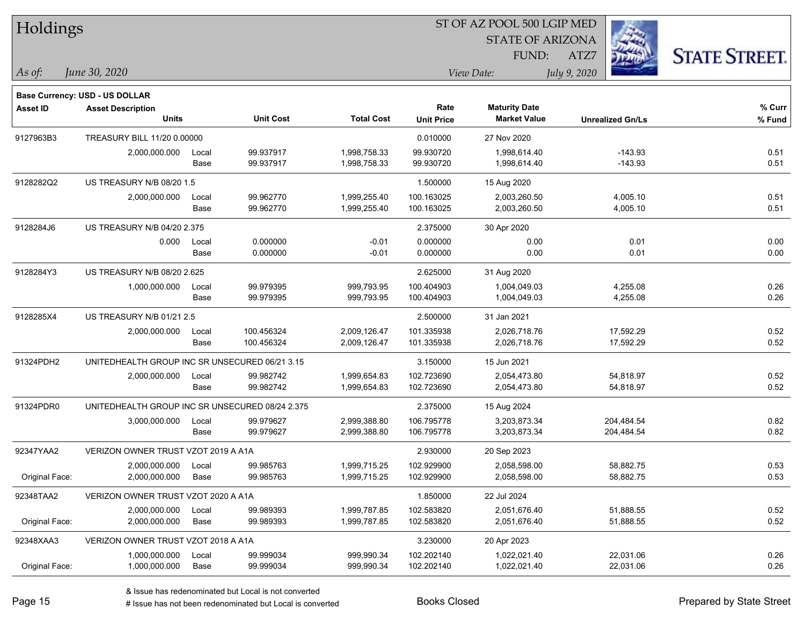| Holdings        |                                                 |       |                  |                   |                   | ST OF AZ POOL 500 LGIP MED |                         |                      |
|-----------------|-------------------------------------------------|-------|------------------|-------------------|-------------------|----------------------------|-------------------------|----------------------|
|                 |                                                 |       |                  |                   |                   | <b>STATE OF ARIZONA</b>    |                         |                      |
|                 |                                                 |       |                  |                   |                   | FUND:                      | ATZ7                    | <b>STATE STREET.</b> |
| As of:          | June 30, 2020                                   |       |                  |                   |                   | View Date:                 | July 9, 2020            |                      |
|                 | Base Currency: USD - US DOLLAR                  |       |                  |                   |                   |                            |                         |                      |
| <b>Asset ID</b> | <b>Asset Description</b>                        |       |                  |                   | Rate              | <b>Maturity Date</b>       |                         | % Curr               |
|                 | <b>Units</b>                                    |       | <b>Unit Cost</b> | <b>Total Cost</b> | <b>Unit Price</b> | <b>Market Value</b>        | <b>Unrealized Gn/Ls</b> | % Fund               |
| 9127963B3       | TREASURY BILL 11/20 0.00000                     |       |                  |                   | 0.010000          | 27 Nov 2020                |                         |                      |
|                 | 2,000,000.000                                   | Local | 99.937917        | 1,998,758.33      | 99.930720         | 1,998,614.40               | $-143.93$               | 0.51                 |
|                 |                                                 | Base  | 99.937917        | 1,998,758.33      | 99.930720         | 1,998,614.40               | $-143.93$               | 0.51                 |
| 9128282Q2       | US TREASURY N/B 08/20 1.5                       |       |                  |                   | 1.500000          | 15 Aug 2020                |                         |                      |
|                 | 2,000,000.000                                   | Local | 99.962770        | 1,999,255.40      | 100.163025        | 2,003,260.50               | 4,005.10                | 0.51                 |
|                 |                                                 | Base  | 99.962770        | 1,999,255.40      | 100.163025        | 2,003,260.50               | 4,005.10                | 0.51                 |
| 9128284J6       | <b>US TREASURY N/B 04/20 2.375</b>              |       |                  |                   | 2.375000          | 30 Apr 2020                |                         |                      |
|                 | 0.000                                           | Local | 0.000000         | $-0.01$           | 0.000000          | 0.00                       | 0.01                    | 0.00                 |
|                 |                                                 | Base  | 0.000000         | $-0.01$           | 0.000000          | 0.00                       | 0.01                    | 0.00                 |
| 9128284Y3       | US TREASURY N/B 08/20 2.625                     |       |                  |                   | 2.625000          | 31 Aug 2020                |                         |                      |
|                 | 1,000,000.000                                   | Local | 99.979395        | 999,793.95        | 100.404903        | 1,004,049.03               | 4,255.08                | 0.26                 |
|                 |                                                 | Base  | 99.979395        | 999,793.95        | 100.404903        | 1,004,049.03               | 4,255.08                | 0.26                 |
| 9128285X4       | US TREASURY N/B 01/21 2.5                       |       |                  |                   | 2.500000          | 31 Jan 2021                |                         |                      |
|                 | 2,000,000.000                                   | Local | 100.456324       | 2,009,126.47      | 101.335938        | 2,026,718.76               | 17,592.29               | 0.52                 |
|                 |                                                 | Base  | 100.456324       | 2,009,126.47      | 101.335938        | 2,026,718.76               | 17,592.29               | 0.52                 |
| 91324PDH2       | UNITEDHEALTH GROUP INC SR UNSECURED 06/21 3.15  |       |                  |                   | 3.150000          | 15 Jun 2021                |                         |                      |
|                 | 2,000,000.000                                   | Local | 99.982742        | 1,999,654.83      | 102.723690        | 2,054,473.80               | 54,818.97               | 0.52                 |
|                 |                                                 | Base  | 99.982742        | 1,999,654.83      | 102.723690        | 2,054,473.80               | 54,818.97               | 0.52                 |
| 91324PDR0       | UNITEDHEALTH GROUP INC SR UNSECURED 08/24 2.375 |       |                  |                   | 2.375000          | 15 Aug 2024                |                         |                      |
|                 | 3,000,000.000                                   | Local | 99.979627        | 2,999,388.80      | 106.795778        | 3,203,873.34               | 204,484.54              | 0.82                 |
|                 |                                                 | Base  | 99.979627        | 2,999,388.80      | 106.795778        | 3,203,873.34               | 204,484.54              | 0.82                 |
| 92347YAA2       | VERIZON OWNER TRUST VZOT 2019 A A1A             |       |                  |                   | 2.930000          | 20 Sep 2023                |                         |                      |
|                 | 2,000,000.000                                   | Local | 99.985763        | 1,999,715.25      | 102.929900        | 2,058,598.00               | 58,882.75               | 0.53                 |
| Original Face:  | 2,000,000.000                                   | Base  | 99.985763        | 1,999,715.25      | 102.929900        | 2,058,598.00               | 58,882.75               | 0.53                 |
| 92348TAA2       | VERIZON OWNER TRUST VZOT 2020 A A1A             |       |                  |                   | 1.850000          | 22 Jul 2024                |                         |                      |
|                 | 2,000,000.000                                   | Local | 99.989393        | 1,999,787.85      | 102.583820        | 2,051,676.40               | 51,888.55               | 0.52                 |
| Original Face:  | 2,000,000.000                                   | Base  | 99.989393        | 1,999,787.85      | 102.583820        | 2,051,676.40               | 51,888.55               | 0.52                 |
| 92348XAA3       | VERIZON OWNER TRUST VZOT 2018 A A1A             |       |                  |                   | 3.230000          | 20 Apr 2023                |                         |                      |
|                 | 1,000,000.000                                   | Local | 99.999034        | 999,990.34        | 102.202140        | 1,022,021.40               | 22,031.06               | 0.26                 |
| Original Face:  | 1,000,000.000                                   | Base  | 99.999034        | 999,990.34        | 102.202140        | 1,022,021.40               | 22,031.06               | 0.26                 |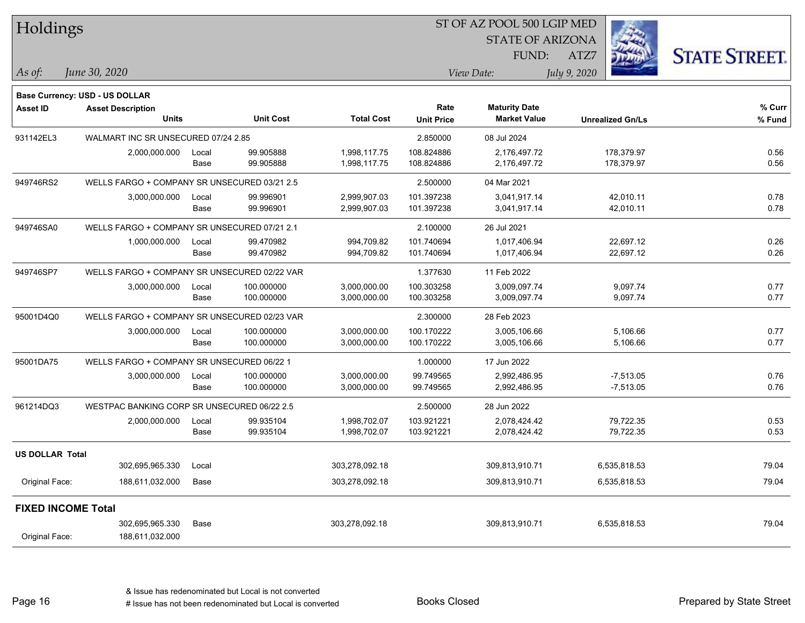| Holdings                  |                                              |       |                  |                   |                           | ST OF AZ POOL 500 LGIP MED                  |              |                         |                      |
|---------------------------|----------------------------------------------|-------|------------------|-------------------|---------------------------|---------------------------------------------|--------------|-------------------------|----------------------|
|                           |                                              |       |                  |                   |                           | <b>STATE OF ARIZONA</b>                     |              |                         |                      |
|                           |                                              |       |                  |                   |                           | FUND:                                       | ATZ7         |                         | <b>STATE STREET.</b> |
| As of:                    | June 30, 2020                                |       |                  |                   |                           | View Date:                                  | July 9, 2020 |                         |                      |
|                           |                                              |       |                  |                   |                           |                                             |              |                         |                      |
|                           | <b>Base Currency: USD - US DOLLAR</b>        |       |                  |                   |                           |                                             |              |                         |                      |
| <b>Asset ID</b>           | <b>Asset Description</b><br><b>Units</b>     |       | <b>Unit Cost</b> | <b>Total Cost</b> | Rate<br><b>Unit Price</b> | <b>Maturity Date</b><br><b>Market Value</b> |              | <b>Unrealized Gn/Ls</b> | % Curr<br>% Fund     |
|                           |                                              |       |                  |                   |                           |                                             |              |                         |                      |
| 931142EL3                 | WALMART INC SR UNSECURED 07/24 2.85          |       |                  |                   | 2.850000                  | 08 Jul 2024                                 |              |                         |                      |
|                           | 2,000,000.000                                | Local | 99.905888        | 1,998,117.75      | 108.824886                | 2,176,497.72                                |              | 178,379.97              | 0.56                 |
|                           |                                              | Base  | 99.905888        | 1,998,117.75      | 108.824886                | 2,176,497.72                                |              | 178,379.97              | 0.56                 |
| 949746RS2                 | WELLS FARGO + COMPANY SR UNSECURED 03/21 2.5 |       |                  |                   | 2.500000                  | 04 Mar 2021                                 |              |                         |                      |
|                           | 3,000,000.000                                | Local | 99.996901        | 2,999,907.03      | 101.397238                | 3,041,917.14                                |              | 42,010.11               | 0.78                 |
|                           |                                              | Base  | 99.996901        | 2,999,907.03      | 101.397238                | 3,041,917.14                                |              | 42,010.11               | 0.78                 |
| 949746SA0                 | WELLS FARGO + COMPANY SR UNSECURED 07/21 2.1 |       |                  |                   | 2.100000                  | 26 Jul 2021                                 |              |                         |                      |
|                           | 1,000,000.000                                | Local | 99.470982        | 994,709.82        | 101.740694                | 1,017,406.94                                |              | 22,697.12               | 0.26                 |
|                           |                                              | Base  | 99.470982        | 994,709.82        | 101.740694                | 1,017,406.94                                |              | 22,697.12               | 0.26                 |
| 949746SP7                 | WELLS FARGO + COMPANY SR UNSECURED 02/22 VAR |       |                  |                   | 1.377630                  | 11 Feb 2022                                 |              |                         |                      |
|                           | 3,000,000.000                                | Local | 100.000000       | 3,000,000.00      | 100.303258                | 3,009,097.74                                |              | 9,097.74                | 0.77                 |
|                           |                                              | Base  | 100.000000       | 3,000,000.00      | 100.303258                | 3,009,097.74                                |              | 9,097.74                | 0.77                 |
| 95001D4Q0                 | WELLS FARGO + COMPANY SR UNSECURED 02/23 VAR |       |                  |                   | 2.300000                  | 28 Feb 2023                                 |              |                         |                      |
|                           | 3,000,000.000                                | Local | 100.000000       | 3,000,000.00      | 100.170222                | 3,005,106.66                                |              | 5,106.66                | 0.77                 |
|                           |                                              | Base  | 100.000000       | 3,000,000.00      | 100.170222                | 3,005,106.66                                |              | 5,106.66                | 0.77                 |
| 95001DA75                 | WELLS FARGO + COMPANY SR UNSECURED 06/22 1   |       |                  |                   | 1.000000                  | 17 Jun 2022                                 |              |                         |                      |
|                           | 3,000,000.000                                | Local | 100.000000       | 3,000,000.00      | 99.749565                 | 2,992,486.95                                |              | $-7,513.05$             | 0.76                 |
|                           |                                              | Base  | 100.000000       | 3,000,000.00      | 99.749565                 | 2,992,486.95                                |              | $-7,513.05$             | 0.76                 |
| 961214DQ3                 | WESTPAC BANKING CORP SR UNSECURED 06/22 2.5  |       |                  |                   | 2.500000                  | 28 Jun 2022                                 |              |                         |                      |
|                           | 2,000,000.000                                | Local | 99.935104        | 1,998,702.07      | 103.921221                | 2,078,424.42                                |              | 79,722.35               | 0.53                 |
|                           |                                              | Base  | 99.935104        | 1,998,702.07      | 103.921221                | 2,078,424.42                                |              | 79,722.35               | 0.53                 |
| <b>US DOLLAR Total</b>    |                                              |       |                  |                   |                           |                                             |              |                         |                      |
|                           | 302,695,965.330                              | Local |                  | 303,278,092.18    |                           | 309,813,910.71                              |              | 6,535,818.53            | 79.04                |
| Original Face:            | 188,611,032.000                              | Base  |                  | 303,278,092.18    |                           | 309,813,910.71                              |              | 6,535,818.53            | 79.04                |
| <b>FIXED INCOME Total</b> |                                              |       |                  |                   |                           |                                             |              |                         |                      |
|                           | 302,695,965.330                              | Base  |                  | 303,278,092.18    |                           | 309,813,910.71                              |              | 6,535,818.53            | 79.04                |
| Original Face:            | 188,611,032.000                              |       |                  |                   |                           |                                             |              |                         |                      |
|                           |                                              |       |                  |                   |                           |                                             |              |                         |                      |

Page 16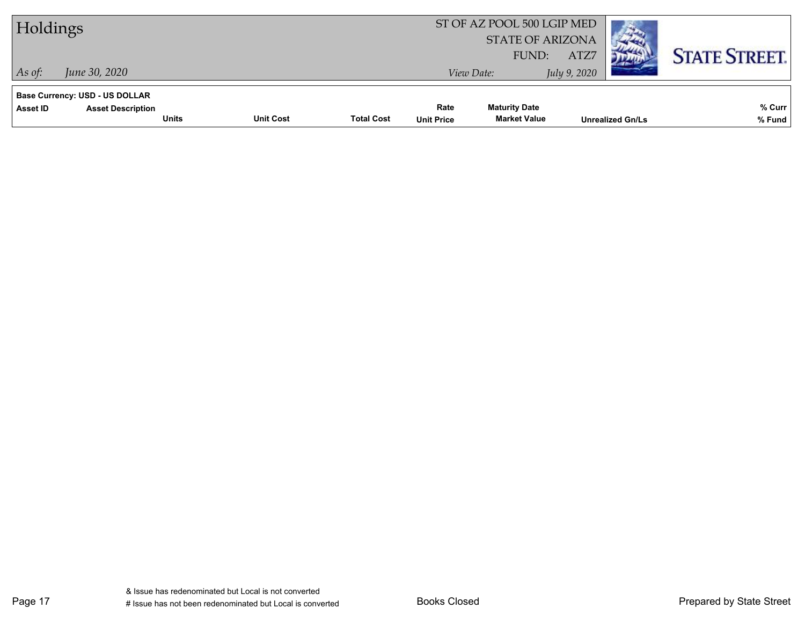| Holdings                                          |                                          |                  |                   |                           | ST OF AZ POOL 500 LGIP MED<br><b>STATE OF ARIZONA</b> |                      |                         |                      |
|---------------------------------------------------|------------------------------------------|------------------|-------------------|---------------------------|-------------------------------------------------------|----------------------|-------------------------|----------------------|
| $ $ As of:                                        | June 30, 2020                            |                  |                   |                           | FUND:<br>View Date:                                   | ATZ7<br>July 9, 2020 |                         | <b>STATE STREET.</b> |
| <b>Base Currency: USD - US DOLLAR</b><br>Asset ID | <b>Asset Description</b><br><b>Units</b> | <b>Unit Cost</b> | <b>Total Cost</b> | Rate<br><b>Unit Price</b> | <b>Maturity Date</b><br><b>Market Value</b>           |                      | <b>Unrealized Gn/Ls</b> | % Curr<br>% Fund     |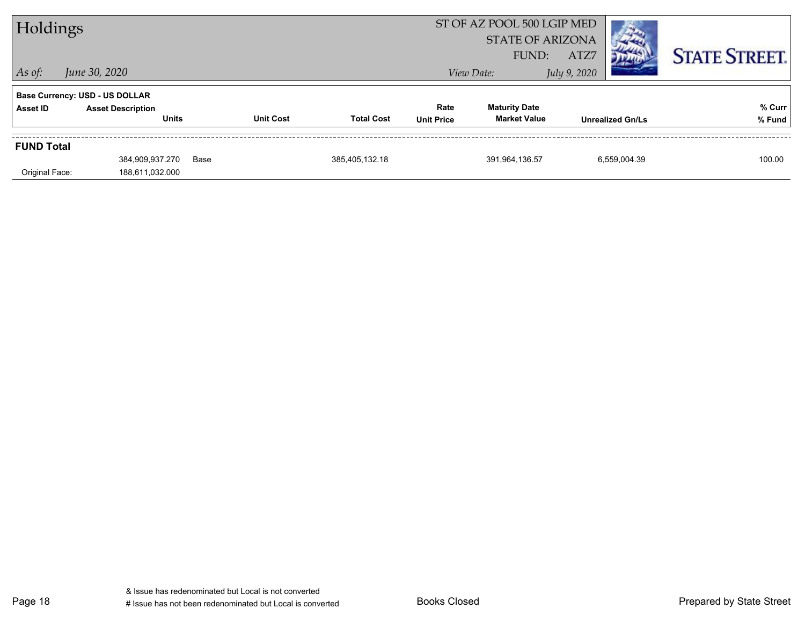| Holdings          |                                       |      |                  |                   |                   | ST OF AZ POOL 500 LGIP MED |              |                         |                      |
|-------------------|---------------------------------------|------|------------------|-------------------|-------------------|----------------------------|--------------|-------------------------|----------------------|
|                   |                                       |      |                  |                   |                   | <b>STATE OF ARIZONA</b>    |              |                         |                      |
|                   |                                       |      |                  |                   |                   | FUND:                      | ATZ7         |                         | <b>STATE STREET.</b> |
| $\vert$ As of:    | June 30, 2020                         |      |                  |                   |                   | View Date:                 | July 9, 2020 |                         |                      |
|                   | <b>Base Currency: USD - US DOLLAR</b> |      |                  |                   |                   |                            |              |                         |                      |
| Asset ID          | <b>Asset Description</b>              |      |                  |                   | Rate              | <b>Maturity Date</b>       |              |                         | % Curr               |
|                   | <b>Units</b>                          |      | <b>Unit Cost</b> | <b>Total Cost</b> | <b>Unit Price</b> | <b>Market Value</b>        |              | <b>Unrealized Gn/Ls</b> | % Fund               |
| <b>FUND Total</b> |                                       |      |                  |                   |                   |                            |              |                         |                      |
|                   | 384,909,937.270                       | Base |                  | 385,405,132.18    |                   | 391,964,136.57             |              | 6,559,004.39            | 100.00               |
| Original Face:    | 188,611,032.000                       |      |                  |                   |                   |                            |              |                         |                      |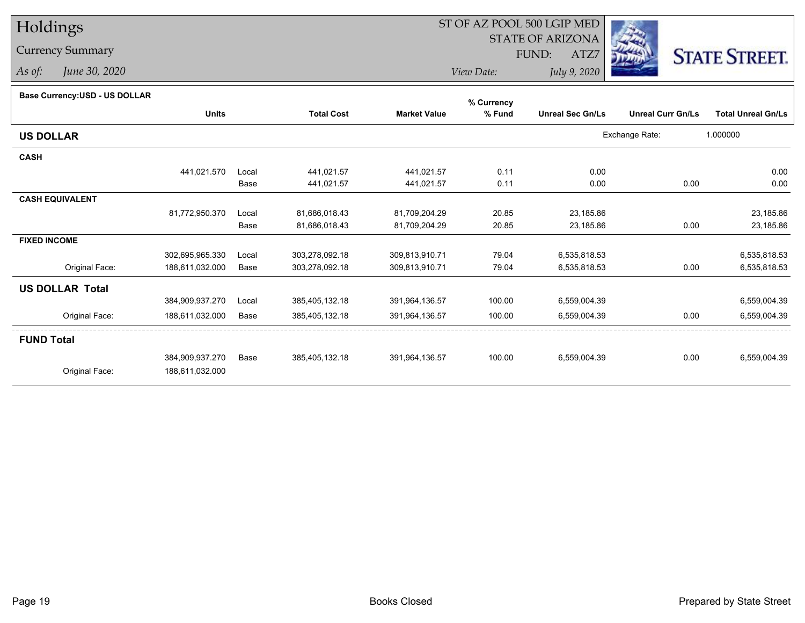# Holdings

## Currency Summary

*As of: June 30, 2020*

## ST OF AZ POOL 500 LGIP MED

 STATE OF ARIZONAFUND:

ATZ7



*View Date:July 9, 2020*

| Base Currency: USD - US DOLLAR |  |
|--------------------------------|--|

| Dase Currency.OOD - OO DOLLAR |                 |       |                   |                     | % Currency |                         |                          |                           |
|-------------------------------|-----------------|-------|-------------------|---------------------|------------|-------------------------|--------------------------|---------------------------|
|                               | <b>Units</b>    |       | <b>Total Cost</b> | <b>Market Value</b> | % Fund     | <b>Unreal Sec Gn/Ls</b> | <b>Unreal Curr Gn/Ls</b> | <b>Total Unreal Gn/Ls</b> |
| <b>US DOLLAR</b>              |                 |       |                   |                     |            |                         | Exchange Rate:           | 1.000000                  |
| <b>CASH</b>                   |                 |       |                   |                     |            |                         |                          |                           |
|                               | 441,021.570     | Local | 441,021.57        | 441,021.57          | 0.11       | 0.00                    |                          | 0.00                      |
|                               |                 | Base  | 441,021.57        | 441,021.57          | 0.11       | 0.00                    | 0.00                     | 0.00                      |
| <b>CASH EQUIVALENT</b>        |                 |       |                   |                     |            |                         |                          |                           |
|                               | 81,772,950.370  | Local | 81,686,018.43     | 81,709,204.29       | 20.85      | 23,185.86               |                          | 23,185.86                 |
|                               |                 | Base  | 81,686,018.43     | 81,709,204.29       | 20.85      | 23,185.86               | 0.00                     | 23,185.86                 |
| <b>FIXED INCOME</b>           |                 |       |                   |                     |            |                         |                          |                           |
|                               | 302,695,965.330 | Local | 303,278,092.18    | 309,813,910.71      | 79.04      | 6,535,818.53            |                          | 6,535,818.53              |
| Original Face:                | 188,611,032.000 | Base  | 303,278,092.18    | 309,813,910.71      | 79.04      | 6,535,818.53            | 0.00                     | 6,535,818.53              |
| <b>US DOLLAR Total</b>        |                 |       |                   |                     |            |                         |                          |                           |
|                               | 384,909,937.270 | Local | 385,405,132.18    | 391,964,136.57      | 100.00     | 6,559,004.39            |                          | 6,559,004.39              |
| Original Face:                | 188,611,032.000 | Base  | 385,405,132.18    | 391,964,136.57      | 100.00     | 6,559,004.39            | 0.00                     | 6,559,004.39              |
| <b>FUND Total</b>             |                 |       |                   |                     |            |                         |                          |                           |
|                               | 384,909,937.270 | Base  | 385,405,132.18    | 391,964,136.57      | 100.00     | 6,559,004.39            | 0.00                     | 6,559,004.39              |
| Original Face:                | 188,611,032.000 |       |                   |                     |            |                         |                          |                           |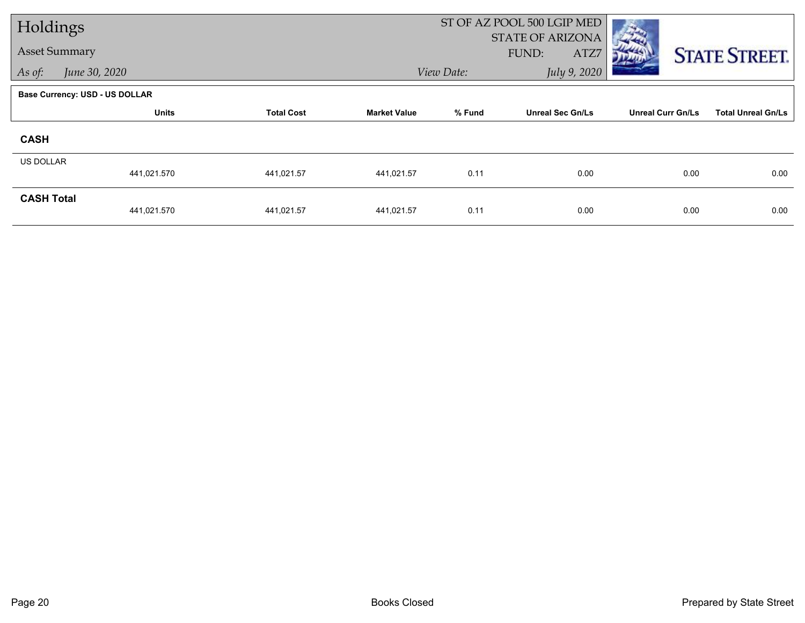| Holdings             |                                       |                   |                     |            | ST OF AZ POOL 500 LGIP MED               |                          |                           |
|----------------------|---------------------------------------|-------------------|---------------------|------------|------------------------------------------|--------------------------|---------------------------|
| <b>Asset Summary</b> |                                       |                   |                     |            | <b>STATE OF ARIZONA</b><br>FUND:<br>ATZ7 |                          | <b>STATE STREET.</b>      |
| As of:               | June 30, 2020                         |                   |                     | View Date: | July 9, 2020                             |                          |                           |
|                      | <b>Base Currency: USD - US DOLLAR</b> |                   |                     |            |                                          |                          |                           |
|                      | <b>Units</b>                          | <b>Total Cost</b> | <b>Market Value</b> | % Fund     | <b>Unreal Sec Gn/Ls</b>                  | <b>Unreal Curr Gn/Ls</b> | <b>Total Unreal Gn/Ls</b> |
| <b>CASH</b>          |                                       |                   |                     |            |                                          |                          |                           |
| US DOLLAR            | 441,021.570                           | 441,021.57        | 441,021.57          | 0.11       | 0.00                                     | 0.00                     | 0.00                      |
|                      |                                       |                   |                     |            |                                          |                          |                           |
| <b>CASH Total</b>    | 441,021.570                           | 441,021.57        | 441,021.57          | 0.11       | 0.00                                     | 0.00                     | 0.00                      |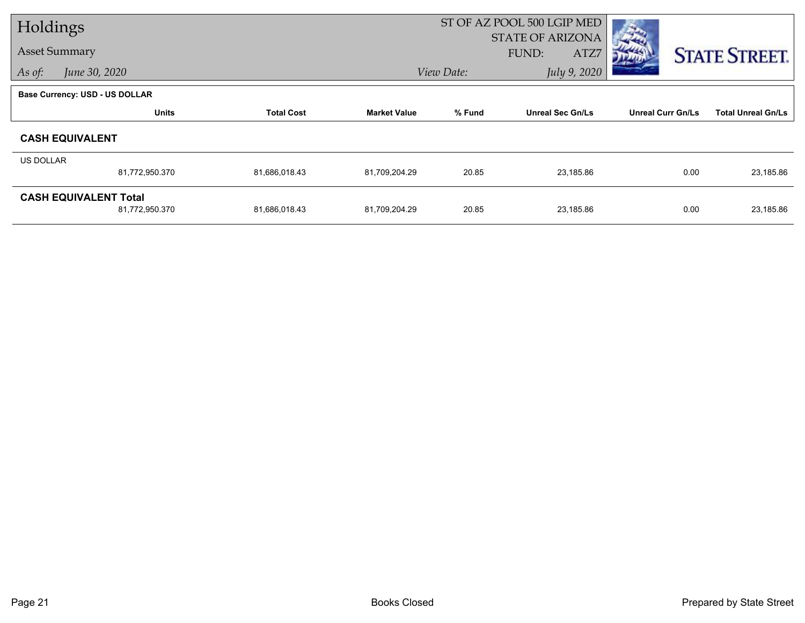| Holdings  |                                       |                   |                     |            | ST OF AZ POOL 500 LGIP MED       |                          |                           |
|-----------|---------------------------------------|-------------------|---------------------|------------|----------------------------------|--------------------------|---------------------------|
|           | <b>Asset Summary</b>                  |                   |                     |            | <b>STATE OF ARIZONA</b><br>FUND: |                          |                           |
|           |                                       |                   |                     |            | ATZ7                             |                          | <b>STATE STREET.</b>      |
| As of:    | June 30, 2020                         |                   |                     | View Date: | July 9, 2020                     |                          |                           |
|           | <b>Base Currency: USD - US DOLLAR</b> |                   |                     |            |                                  |                          |                           |
|           | <b>Units</b>                          | <b>Total Cost</b> | <b>Market Value</b> | % Fund     | <b>Unreal Sec Gn/Ls</b>          | <b>Unreal Curr Gn/Ls</b> | <b>Total Unreal Gn/Ls</b> |
|           | <b>CASH EQUIVALENT</b>                |                   |                     |            |                                  |                          |                           |
| US DOLLAR |                                       |                   |                     |            |                                  |                          |                           |
|           | 81,772,950.370                        | 81,686,018.43     | 81,709,204.29       | 20.85      | 23,185.86                        | 0.00                     | 23,185.86                 |
|           | <b>CASH EQUIVALENT Total</b>          |                   |                     |            |                                  |                          |                           |
|           | 81,772,950.370                        | 81,686,018.43     | 81,709,204.29       | 20.85      | 23,185.86                        | 0.00                     | 23,185.86                 |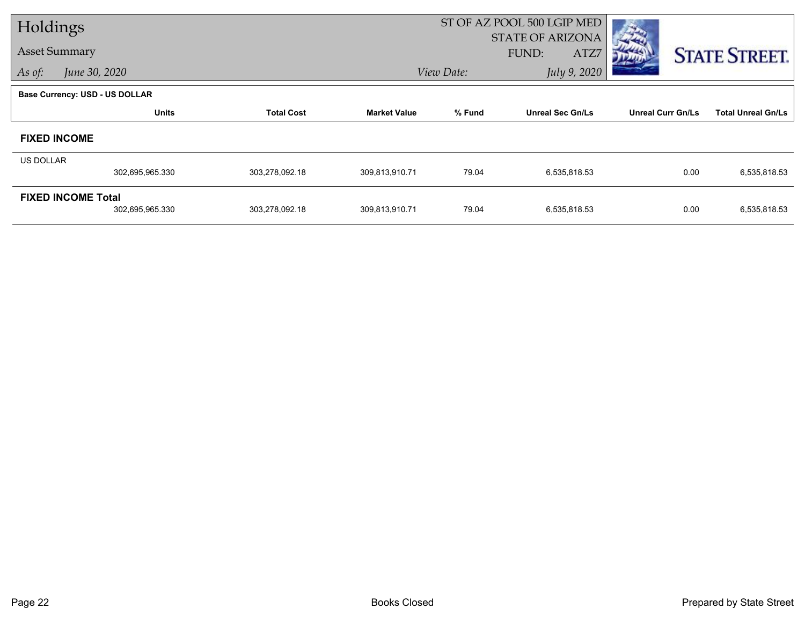| Holdings             |                                              |                   |                     | ST OF AZ POOL 500 LGIP MED               |                         |                          |                           |
|----------------------|----------------------------------------------|-------------------|---------------------|------------------------------------------|-------------------------|--------------------------|---------------------------|
| <b>Asset Summary</b> |                                              |                   |                     | <b>STATE OF ARIZONA</b><br>FUND:<br>ATZ7 |                         |                          | <b>STATE STREET.</b>      |
| As of:               | June 30, 2020                                |                   |                     | July 9, 2020<br>View Date:               |                         |                          |                           |
|                      | <b>Base Currency: USD - US DOLLAR</b>        |                   |                     |                                          |                         |                          |                           |
|                      | <b>Units</b>                                 | <b>Total Cost</b> | <b>Market Value</b> | % Fund                                   | <b>Unreal Sec Gn/Ls</b> | <b>Unreal Curr Gn/Ls</b> | <b>Total Unreal Gn/Ls</b> |
|                      | <b>FIXED INCOME</b>                          |                   |                     |                                          |                         |                          |                           |
| <b>US DOLLAR</b>     |                                              |                   |                     |                                          |                         |                          |                           |
|                      | 302,695,965.330                              | 303,278,092.18    | 309,813,910.71      | 79.04                                    | 6,535,818.53            | 0.00                     | 6,535,818.53              |
|                      | <b>FIXED INCOME Total</b><br>302,695,965.330 | 303,278,092.18    | 309,813,910.71      | 79.04                                    | 6,535,818.53            | 0.00                     | 6,535,818.53              |
|                      |                                              |                   |                     |                                          |                         |                          |                           |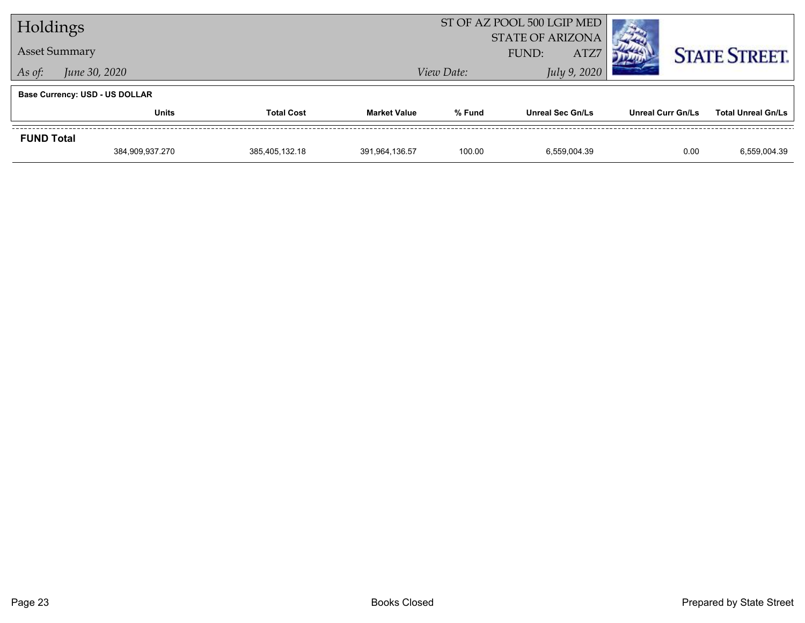| Holdings             |                                       |                   |                     | ST OF AZ POOL 500 LGIP MED               |                         |                          |                           |
|----------------------|---------------------------------------|-------------------|---------------------|------------------------------------------|-------------------------|--------------------------|---------------------------|
| <b>Asset Summary</b> |                                       |                   |                     | <b>STATE OF ARIZONA</b><br>ATZ7<br>FUND: |                         |                          | <b>STATE STREET.</b>      |
| As of:               | June 30, 2020                         |                   |                     | View Date:                               | July 9, 2020            |                          |                           |
|                      | <b>Base Currency: USD - US DOLLAR</b> |                   |                     |                                          |                         |                          |                           |
|                      | <b>Units</b>                          | <b>Total Cost</b> | <b>Market Value</b> | % Fund                                   | <b>Unreal Sec Gn/Ls</b> | <b>Unreal Curr Gn/Ls</b> | <b>Total Unreal Gn/Ls</b> |
| <b>FUND Total</b>    |                                       |                   |                     |                                          |                         |                          |                           |
|                      | 384,909,937.270                       | 385,405,132.18    | 391,964,136.57      | 100.00                                   | 6.559.004.39            | 0.00                     | 6,559,004.39              |